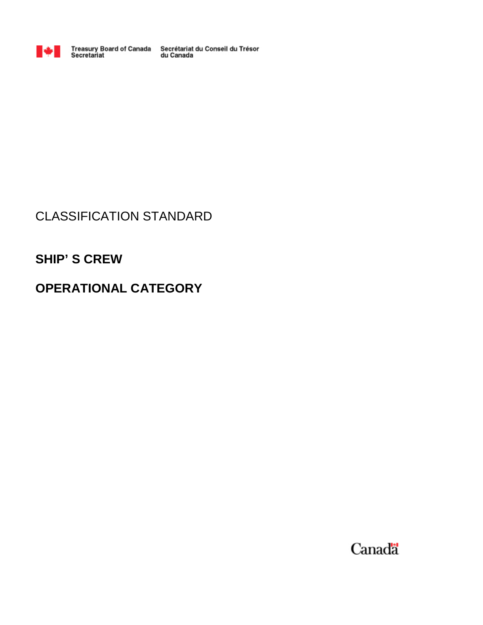

Treasury Board of Canada Secrétariat du Conseil du Trésor<br>Secretariat du Canada

# CLASSIFICATION STANDARD

## **SHIP' S CREW**

# **OPERATIONAL CATEGORY**

Canada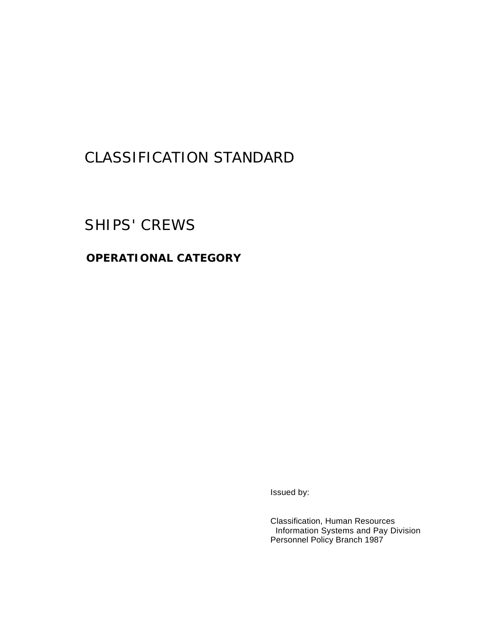# CLASSIFICATION STANDARD

# SHIPS' CREWS

## **OPERATIONAL CATEGORY**

Issued by:

Classification, Human Resources Information Systems and Pay Division Personnel Policy Branch 1987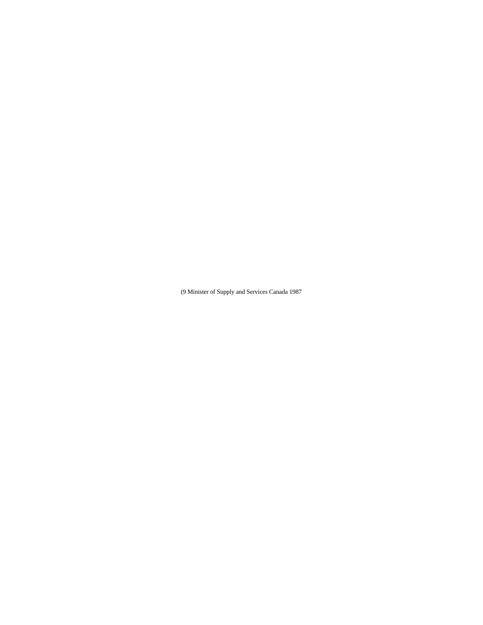(9 Minister of Supply and Services Canada 1987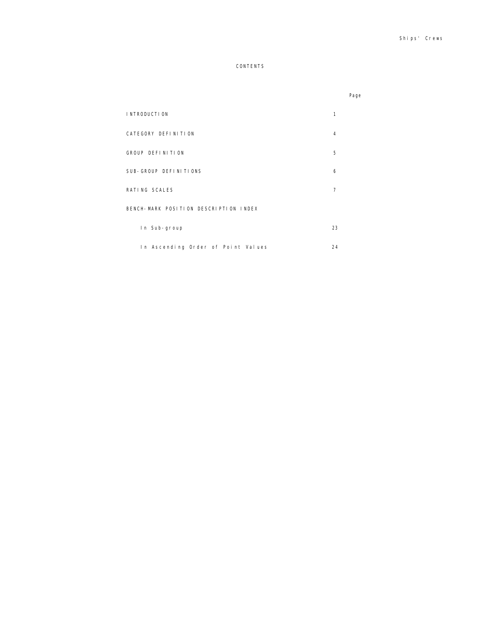## CONTENTS

|                                       |                | Page |
|---------------------------------------|----------------|------|
| <b>INTRODUCTION</b>                   | 1              |      |
| CATEGORY DEFINITION                   | $\overline{4}$ |      |
| GROUP DEFINITION                      | 5              |      |
| SUB-GROUP DEFINITIONS                 | 6              |      |
| RATING SCALES                         | $\overline{7}$ |      |
| BENCH-MARK POSITION DESCRIPTION INDEX |                |      |
| In Sub-group                          | 23             |      |
| In Ascending Order of Point Values    | 24             |      |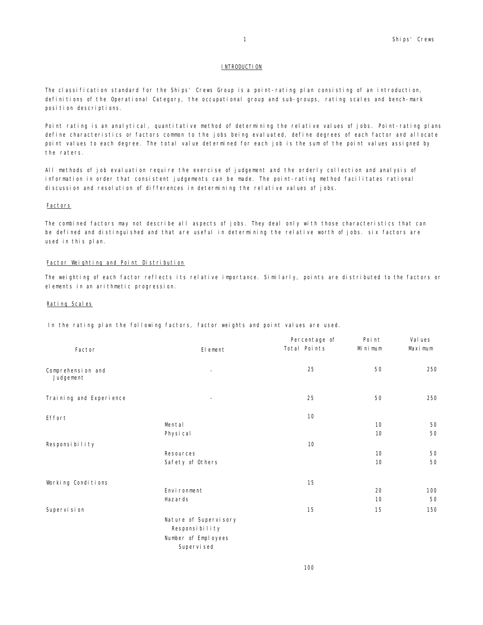#### INTRODUCTION

The classification standard for the Ships' Crews Group is a point-rating plan consisting of an introduction, definitions of the Operational Category, the occupational group and sub-groups, rating scales and bench-mark position descriptions.

Point rating is an analytical, quantitative method of determining the relative values of jobs. Point-rating plans define characteristics or factors common to the jobs being evaluated, define degrees of each factor and allocate point values to each degree. The total value determined for each job is the sum of the point values assigned by the raters.

All methods of job evaluation require the exercise of judgement and the orderly collection and analysis of information in order that consistent judgements can be made. The point-rating method facilitates rational discussion and resolution of differences in determining the relative values of jobs.

#### **Factors**

The combined factors may not describe all aspects of jobs. They deal only with those characteristics that can be defined and distinguished and that are useful in determining the relative worth of jobs. six factors are used in this plan.

#### Factor Weighting and Point Distribution

The weighting of each factor reflects its relative importance. Similarly, points are distributed to the factors or elements in an arithmetic progression.

#### Rating Scales

In the rating plan the following factors, factor weights and point values are used.

|                                |                                                                                 | Percentage of | Poi nt    | Val ues  |
|--------------------------------|---------------------------------------------------------------------------------|---------------|-----------|----------|
| Factor                         | El ement                                                                        | Total Points  | Mi ni mum | Maxi mum |
| Comprehension and<br>Judgement | $\overline{\phantom{a}}$                                                        | 25            | 50        | 250      |
| Training and Experience        |                                                                                 | 25            | 50        | 250      |
| Effort                         |                                                                                 | 10            |           |          |
|                                | Mental                                                                          |               | 10        | 50       |
|                                | Physi cal                                                                       |               | 10        | 50       |
| Responsi bility                |                                                                                 | 10            |           |          |
|                                | Resources                                                                       |               | 10        | 50       |
|                                | Safety of Others                                                                |               | 10        | 50       |
| Working Conditions             |                                                                                 | 15            |           |          |
|                                | Envi ronment                                                                    |               | 20        | 100      |
|                                | Hazards                                                                         |               | 10        | 50       |
| Supervi si on                  |                                                                                 | 15            | 15        | 150      |
|                                | Nature of Supervi sory<br>Responsi bility<br>Number of Employees<br>Supervi sed |               |           |          |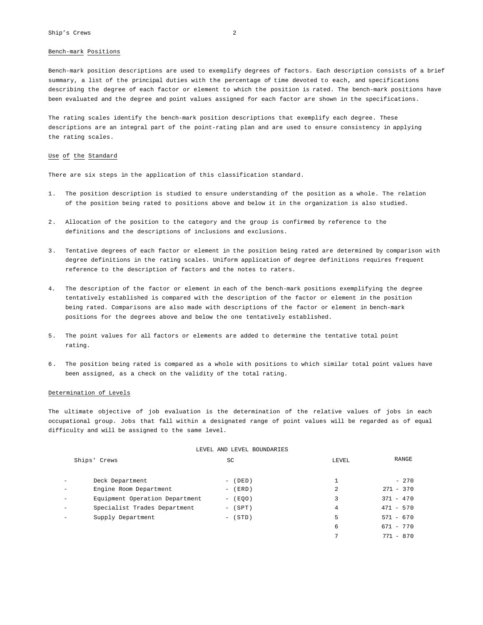#### Bench-mark Positions

Bench-mark position descriptions are used to exemplify degrees of factors. Each description consists of a brief summary, a list of the principal duties with the percentage of time devoted to each, and specifications describing the degree of each factor or element to which the position is rated. The bench-mark positions have been evaluated and the degree and point values assigned for each factor are shown in the specifications.

The rating scales identify the bench-mark position descriptions that exemplify each degree. These descriptions are an integral part of the point-rating plan and are used to ensure consistency in applying the rating scales.

## Use of the Standard

There are six steps in the application of this classification standard.

- 1. The position description is studied to ensure understanding of the position as a whole. The relation of the position being rated to positions above and below it in the organization is also studied.
- 2. Allocation of the position to the category and the group is confirmed by reference to the definitions and the descriptions of inclusions and exclusions.
- 3. Tentative degrees of each factor or element in the position being rated are determined by comparison with degree definitions in the rating scales. Uniform application of degree definitions requires frequent reference to the description of factors and the notes to raters.
- 4. The description of the factor or element in each of the bench-mark positions exemplifying the degree tentatively established is compared with the description of the factor or element in the position being rated. Comparisons are also made with descriptions of the factor or element in bench-mark positions for the degrees above and below the one tentatively established.
- 5. The point values for all factors or elements are added to determine the tentative total point rating.
- 6. The position being rated is compared as a whole with positions to which similar total point values have been assigned, as a check on the validity of the total rating.

#### Determination of Levels

The ultimate objective of job evaluation is the determination of the relative values of jobs in each occupational group. Jobs that fall within a designated range of point values will be regarded as of equal difficulty and will be assigned to the same level.

|                                | LEVEL AND LEVEL BOUNDARIES |       |               |
|--------------------------------|----------------------------|-------|---------------|
| Ships' Crews                   | SC                         | LEVEL | <b>RANGE</b>  |
| Deck Department                | (DED)<br>$-$               |       | $-270$        |
| Engine Room Department         | (ERD)<br>-                 | 2     | $-370$<br>271 |
| Equipment Operation Department | (EOO)<br>$-$               | 3     | $371 - 470$   |
| Specialist Trades Department   | (SPT)<br>$-$               | 4     | $471 - 570$   |
| Supply Department              | (STD)<br>-                 | 5     | $571 - 670$   |
|                                |                            | 6     | $671 - 770$   |
|                                |                            | 7     | $771 - 870$   |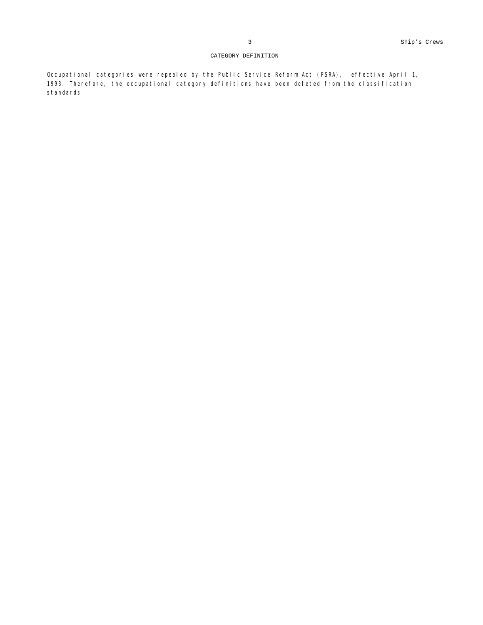## CATEGORY DEFINITION

Occupational categories were repealed by the Public Service Reform Act (PSRA), effective April 1, 1993. Therefore, the occupational category definitions have been deleted from the classification standards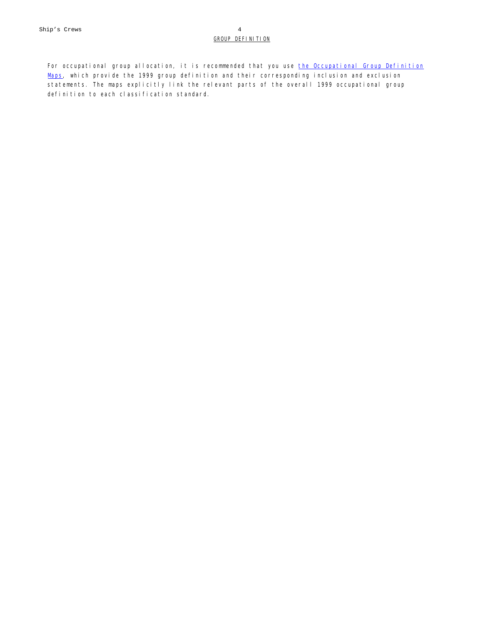For occupational group allocation, it is recommended that you use *the Occupational Group Definition* Maps, which provide the 1999 group definition and their corresponding inclusion and exclusion statements. The maps explicitly link the relevant parts of the overall 1999 occupational group definition to each classification standard.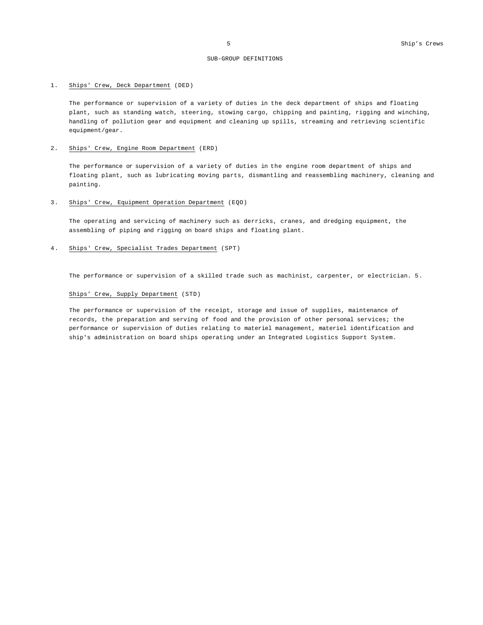#### SUB-GROUP DEFINITIONS

#### 1. Ships' Crew, Deck Department (DED)

The performance or supervision of a variety of duties in the deck department of ships and floating plant, such as standing watch, steering, stowing cargo, chipping and painting, rigging and winching, handling of pollution gear and equipment and cleaning up spills, streaming and retrieving scientific equipment/gear.

#### 2. Ships' Crew, Engine Room Department (ERD)

The performance or supervision of a variety of duties in the engine room department of ships and floating plant, such as lubricating moving parts, dismantling and reassembling machinery, cleaning and painting.

#### 3. Ships' Crew, Equipment Operation Department (EQO)

The operating and servicing of machinery such as derricks, cranes, and dredging equipment, the assembling of piping and rigging on board ships and floating plant.

#### 4. Ships' Crew, Specialist Trades Department (SPT)

The performance or supervision of a skilled trade such as machinist, carpenter, or electrician. 5.

## Ships' Crew, Supply Department (STD)

The performance or supervision of the receipt, storage and issue of supplies, maintenance of records, the preparation and serving of food and the provision of other personal services; the performance or supervision of duties relating to materiel management, materiel identification and ship's administration on board ships operating under an Integrated Logistics Support System.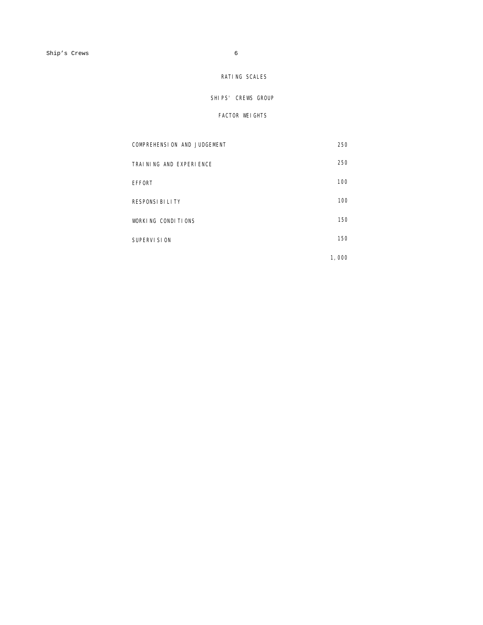## RATING SCALES

## SHIPS' CREWS GROUP

## FACTOR WEIGHTS

| COMPREHENSION AND JUDGEMENT | 250   |
|-----------------------------|-------|
| TRAINING AND EXPERIENCE     | 250   |
| <b>EFFORT</b>               | 100   |
| <b>RESPONSI BILITY</b>      | 100   |
| WORKING CONDITIONS          | 150   |
| SUPERVI SI ON               | 150   |
|                             | 1,000 |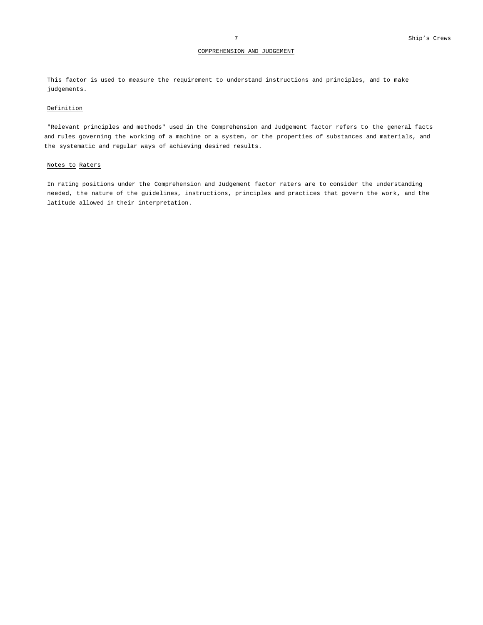## COMPREHENSION AND JUDGEMENT

This factor is used to measure the requirement to understand instructions and principles, and to make judgements.

#### Definition

"Relevant principles and methods" used in the Comprehension and Judgement factor refers to the general facts and rules governing the working of a machine or a system, or the properties of substances and materials, and the systematic and regular ways of achieving desired results.

## Notes to Raters

In rating positions under the Comprehension and Judgement factor raters are to consider the understanding needed, the nature of the guidelines, instructions, principles and practices that govern the work, and the latitude allowed in their interpretation.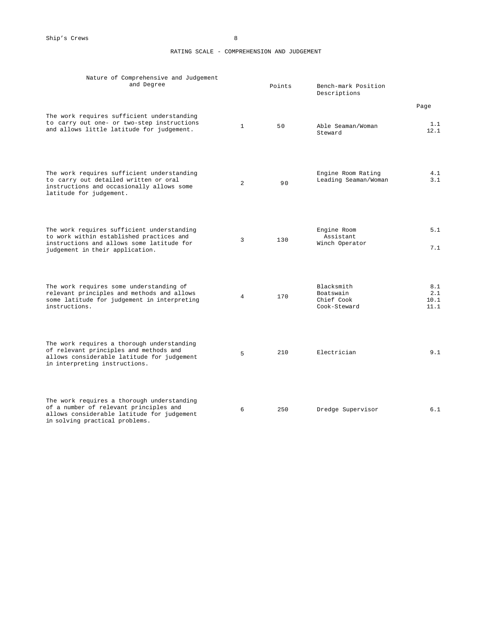## RATING SCALE - COMPREHENSION AND JUDGEMENT

| Nature of Comprehensive and Judgement<br>and Degree                                                                                                                    |                | Points | Bench-mark Position<br>Descriptions                   |                            |
|------------------------------------------------------------------------------------------------------------------------------------------------------------------------|----------------|--------|-------------------------------------------------------|----------------------------|
| The work requires sufficient understanding<br>to carry out one- or two-step instructions<br>and allows little latitude for judgement.                                  | $\mathbf{1}$   | 50     | Able Seaman/Woman<br>Steward                          | Page<br>1.1<br>12.1        |
| The work requires sufficient understanding<br>to carry out detailed written or oral<br>instructions and occasionally allows some<br>latitude for judgement.            | $\overline{a}$ | 90     | Engine Room Rating<br>Leading Seaman/Woman            | 4.1<br>3.1                 |
| The work requires sufficient understanding<br>to work within established practices and<br>instructions and allows some latitude for<br>judgement in their application. | 3              | 130    | Engine Room<br>Assistant<br>Winch Operator            | 5.1<br>7.1                 |
| The work requires some understanding of<br>relevant principles and methods and allows<br>some latitude for judgement in interpreting<br>instructions.                  | $\overline{4}$ | 170    | Blacksmith<br>Boatswain<br>Chief Cook<br>Cook-Steward | 8.1<br>2.1<br>10.1<br>11.1 |
| The work requires a thorough understanding<br>of relevant principles and methods and<br>allows considerable latitude for judgement<br>in interpreting instructions.    | 5              | 210    | Electrician                                           | 9.1                        |
| The work requires a thorough understanding<br>of a number of relevant principles and<br>allows considerable latitude for judgement                                     | 6              | 250    | Dredge Supervisor                                     | 6.1                        |

in solving practical problems.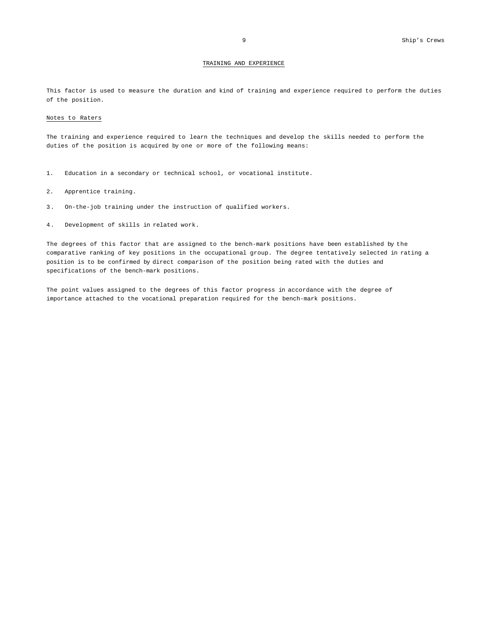## 9 Ship's Crews

#### TRAINING AND EXPERIENCE

This factor is used to measure the duration and kind of training and experience required to perform the duties of the position.

## Notes to Raters

The training and experience required to learn the techniques and develop the skills needed to perform the duties of the position is acquired by one or more of the following means:

- 1. Education in a secondary or technical school, or vocational institute.
- 2. Apprentice training.
- 3. On-the-job training under the instruction of qualified workers.
- 4. Development of skills in related work.

The degrees of this factor that are assigned to the bench-mark positions have been established by the comparative ranking of key positions in the occupational group. The degree tentatively selected in rating a position is to be confirmed by direct comparison of the position being rated with the duties and specifications of the bench-mark positions.

The point values assigned to the degrees of this factor progress in accordance with the degree of importance attached to the vocational preparation required for the bench-mark positions.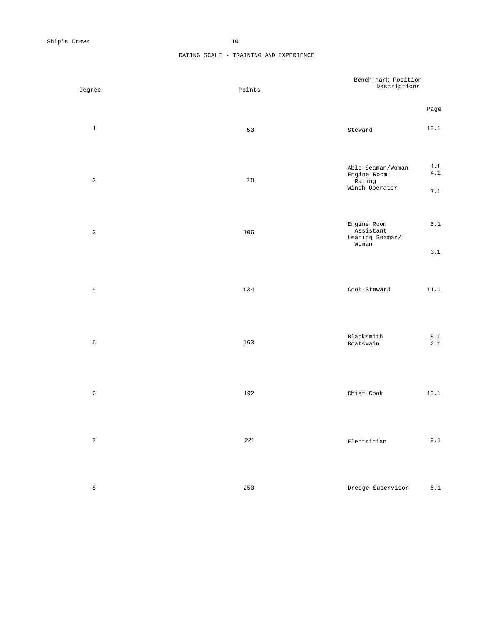## RATING SCALE - TRAINING AND EXPERIENCE

| Degree           | $Points$ | Bench-mark Position<br>Descriptions                                        |
|------------------|----------|----------------------------------------------------------------------------|
|                  |          | Page                                                                       |
| $\mathbf{1}$     | $50\,$   | 12.1<br>Steward                                                            |
|                  |          |                                                                            |
| $\mathbf{2}$     | 78       | 1.1<br>Able Seaman/Woman<br>4.1<br>Engine Room<br>Rating<br>Winch Operator |
|                  |          | 7.1                                                                        |
| $\mathsf 3$      | 106      | Engine Room<br>5.1<br>Assistant                                            |
|                  |          | Leading Seaman/<br>Woman<br>3.1                                            |
|                  |          |                                                                            |
| $\overline{4}$   | 134      | Cook-Steward<br>11.1                                                       |
|                  |          |                                                                            |
| 5                | 163      | Blacksmith<br>$8.1\,$<br>Boatswain<br>2.1                                  |
|                  |          |                                                                            |
| $\epsilon$       | 192      | Chief Cook<br>10.1                                                         |
|                  |          |                                                                            |
| $\boldsymbol{7}$ | 221      | $9.1\,$<br>Electrician                                                     |
|                  |          |                                                                            |
| 8                | $250$    | Dredge Supervisor<br>$6.1\,$                                               |
|                  |          |                                                                            |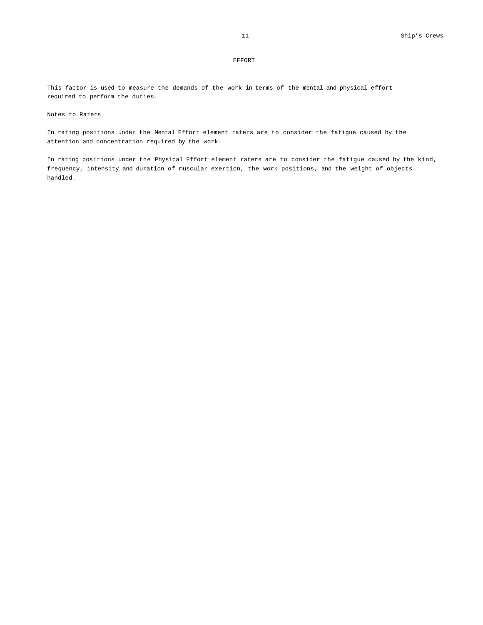## EFFORT

This factor is used to measure the demands of the work in terms of the mental and physical effort required to perform the duties.

## Notes to Raters

In rating positions under the Mental Effort element raters are to consider the fatigue caused by the attention and concentration required by the work.

In rating positions under the Physical Effort element raters are to consider the fatigue caused by the kind, frequency, intensity and duration of muscular exertion, the work positions, and the weight of objects handled.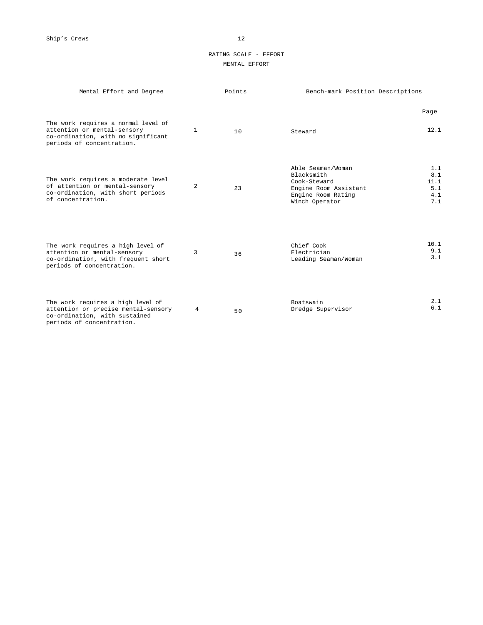## RATING SCALE - EFFORT MENTAL EFFORT

| Mental Effort and Degree                                                                                                               | Points         |     |                                                                                                                  | Bench-mark Position Descriptions        |  |
|----------------------------------------------------------------------------------------------------------------------------------------|----------------|-----|------------------------------------------------------------------------------------------------------------------|-----------------------------------------|--|
| The work requires a normal level of<br>attention or mental-sensory<br>co-ordination, with no significant<br>periods of concentration.  | 1              | 10  | Steward                                                                                                          | Page<br>12.1                            |  |
| The work requires a moderate level<br>of attention or mental-sensory<br>co-ordination, with short periods<br>of concentration.         | $\overline{2}$ | 2.3 | Able Seaman/Woman<br>Blacksmith<br>Cook-Steward<br>Engine Room Assistant<br>Engine Room Rating<br>Winch Operator | 1.1<br>8.1<br>11.1<br>5.1<br>4.1<br>7.1 |  |
| The work requires a high level of<br>attention or mental-sensory<br>co-ordination, with frequent short<br>periods of concentration.    | 3              | 36  | Chief Cook<br>Electrician<br>Leading Seaman/Woman                                                                | 10.1<br>9.1<br>3.1                      |  |
| The work requires a high level of<br>attention or precise mental-sensory<br>co-ordination, with sustained<br>periods of concentration. | 4              | 50  | <b>Boatswain</b><br>Dredge Supervisor                                                                            | 2.1<br>6.1                              |  |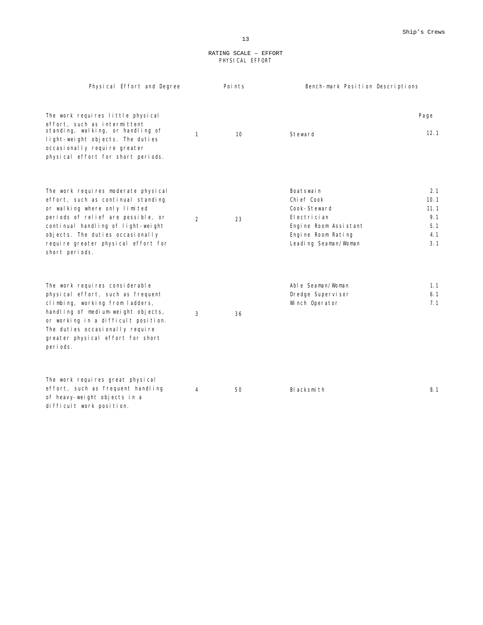## 13

## RATING SCALE – EFFORT PHYSICAL EFFORT

| Physical Effort and Degree                                                                                                                                                                                                                                                          |   | Points | Bench-mark Position Descriptions                                                                                                |                                                 |
|-------------------------------------------------------------------------------------------------------------------------------------------------------------------------------------------------------------------------------------------------------------------------------------|---|--------|---------------------------------------------------------------------------------------------------------------------------------|-------------------------------------------------|
| The work requires little physical<br>effort, such as intermittent<br>standing, walking, or handling of<br>light-weight objects. The duties<br>occasionally require greater<br>physical effort for short periods.                                                                    | 1 | 10     | Steward                                                                                                                         | Page<br>12.1                                    |
| The work requires moderate physical<br>effort, such as continual standing<br>or walking where only limited<br>periods of relief are possible, or<br>continual handling of light-weight<br>objects. The duties occasionally<br>require greater physical effort for<br>short periods. | 2 | 23     | Boatswain<br>Chi ef Cook<br>Cook-Steward<br>El ectrician<br>Engine Room Assistant<br>Engine Room Rating<br>Leading Seaman/Woman | 2.1<br>10.1<br>11.1<br>9.1<br>5.1<br>4.1<br>3.1 |
| The work requires considerable<br>physical effort, such as frequent<br>climbing, working from ladders,<br>handling of medium-weight objects,<br>or working in a difficult position.<br>The duties occasionally require<br>greater physical effort for short<br>peri ods.            | 3 | 36     | Able Seaman/Woman<br>Dredge Supervisor<br>Winch Operator                                                                        | 1.1<br>6.1<br>7.1                               |
| The work requires great physical<br>effort, such as frequent handling<br>of heavy-weight objects in a<br>difficult work position.                                                                                                                                                   | 4 | 50     | BI acksmith                                                                                                                     | 8.1                                             |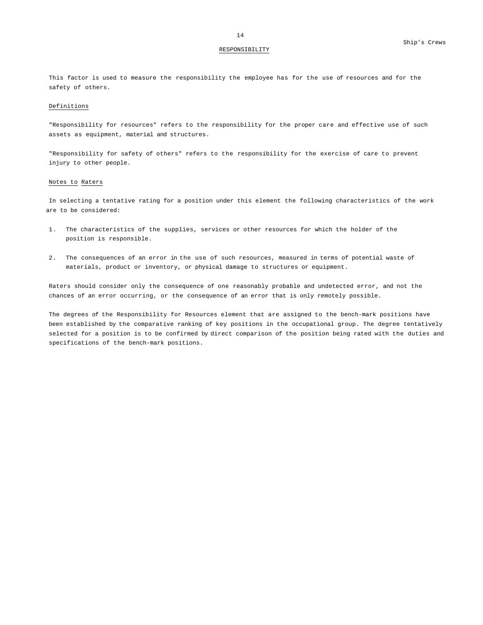#### RESPONSIBILITY

This factor is used to measure the responsibility the employee has for the use of resources and for the safety of others.

#### Definitions

"Responsibility for resources" refers to the responsibility for the proper care and effective use of such assets as equipment, material and structures.

"Responsibility for safety of others" refers to the responsibility for the exercise of care to prevent injury to other people.

#### Notes to Raters

In selecting a tentative rating for a position under this element the following characteristics of the work are to be considered:

- 1. The characteristics of the supplies, services or other resources for which the holder of the position is responsible.
- 2. The consequences of an error in the use of such resources, measured in terms of potential waste of materials, product or inventory, or physical damage to structures or equipment.

Raters should consider only the consequence of one reasonably probable and undetected error, and not the chances of an error occurring, or the consequence of an error that is only remotely possible.

The degrees of the Responsibility for Resources element that are assigned to the bench-mark positions have been established by the comparative ranking of key positions in the occupational group. The degree tentatively selected for a position is to be confirmed by direct comparison of the position being rated with the duties and specifications of the bench-mark positions.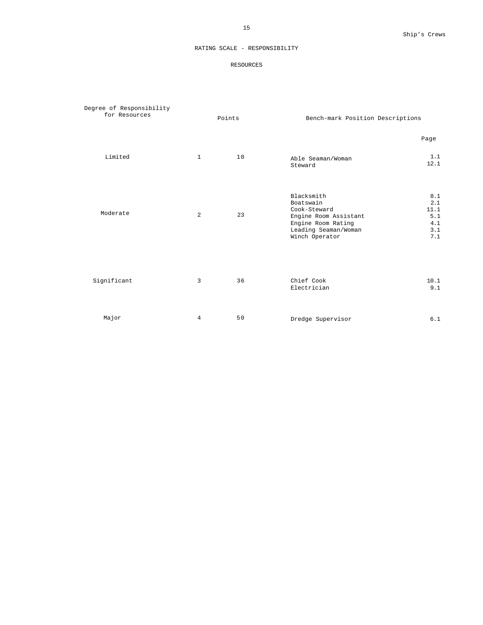## RATING SCALE - RESPONSIBILITY

## RESOURCES

| Degree of Responsibility<br>for Resources |                | Points |                                                                                                                                  | Bench-mark Position Descriptions               |  |
|-------------------------------------------|----------------|--------|----------------------------------------------------------------------------------------------------------------------------------|------------------------------------------------|--|
|                                           |                |        |                                                                                                                                  | Page                                           |  |
| Limited                                   | $\mathbf{1}$   | 10     | Able Seaman/Woman<br>Steward                                                                                                     | 1.1<br>12.1                                    |  |
| Moderate                                  | 2              | 23     | Blacksmith<br>Boatswain<br>Cook-Steward<br>Engine Room Assistant<br>Engine Room Rating<br>Leading Seaman/Woman<br>Winch Operator | 8.1<br>2.1<br>11.1<br>5.1<br>4.1<br>3.1<br>7.1 |  |
| Significant                               | 3              | 36     | Chief Cook<br>Electrician                                                                                                        | 10.1<br>9.1                                    |  |
| Major                                     | $\overline{4}$ | 50     | Dredge Supervisor                                                                                                                | 6.1                                            |  |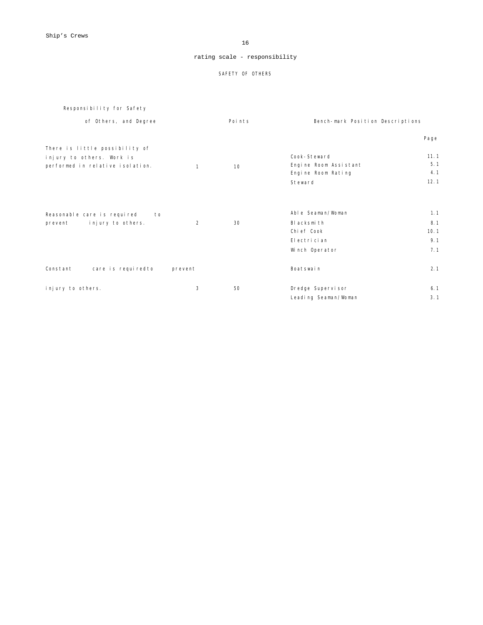16

## rating scale - responsibility

## SAFETY OF OTHERS

Responsibility for Safety

| of Others, and Degree             |                | Points | Bench-mark Position Descriptions |      |
|-----------------------------------|----------------|--------|----------------------------------|------|
|                                   |                |        |                                  | Page |
| There is little possibility of    |                |        |                                  |      |
| injury to others. Work is         |                |        | Cook-Steward                     | 11.1 |
| performed in relative isolation.  | $\mathbf{1}$   | 10     | Engine Room Assistant            | 5.1  |
|                                   |                |        | Engine Room Rating               | 4.1  |
|                                   |                |        | Steward                          | 12.1 |
|                                   |                |        |                                  |      |
| Reasonable care is required<br>to |                |        | Able Seaman/Woman                | 1.1  |
| injury to others.<br>prevent      | $\overline{2}$ | 30     | Blacksmith                       | 8.1  |
|                                   |                |        | Chi ef Cook                      | 10.1 |
|                                   |                |        | El ectrician                     | 9.1  |
|                                   |                |        | Winch Operator                   | 7.1  |
| care is required to<br>Constant   | prevent        |        | Boatswain                        | 2.1  |
| injury to others.                 | 3              | 50     | Dredge Supervisor                | 6.1  |
|                                   |                |        | Leading Seaman/Woman             | 3.1  |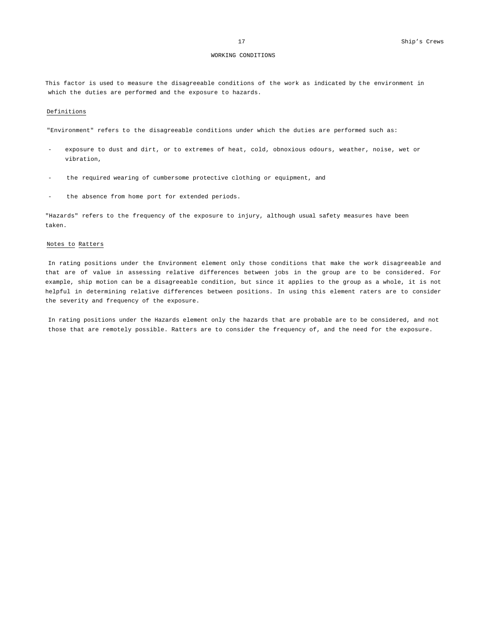#### WORKING CONDITIONS

This factor is used to measure the disagreeable conditions of the work as indicated by the environment in which the duties are performed and the exposure to hazards.

#### Definitions

"Environment" refers to the disagreeable conditions under which the duties are performed such as:

- exposure to dust and dirt, or to extremes of heat, cold, obnoxious odours, weather, noise, wet or vibration,
- the required wearing of cumbersome protective clothing or equipment, and
- the absence from home port for extended periods.

"Hazards" refers to the frequency of the exposure to injury, although usual safety measures have been taken.

## Notes to Ratters

In rating positions under the Environment element only those conditions that make the work disagreeable and that are of value in assessing relative differences between jobs in the group are to be considered. For example, ship motion can be a disagreeable condition, but since it applies to the group as a whole, it is not helpful in determining relative differences between positions. In using this element raters are to consider the severity and frequency of the exposure.

In rating positions under the Hazards element only the hazards that are probable are to be considered, and not those that are remotely possible. Ratters are to consider the frequency of, and the need for the exposure.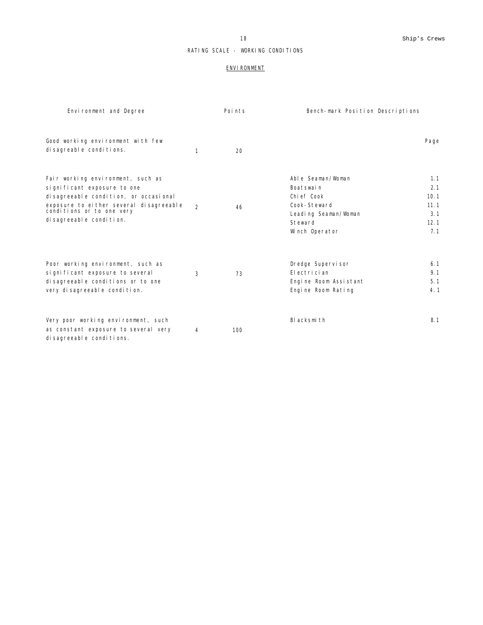## RATING SCALE - WORKING CONDITIONS

## **ENVI RONMENT**

| Environment and Degree                                                                                                                                                                                                |                | Poi nts | Bench-mark Position Descriptions                                                                                          |                                                  |
|-----------------------------------------------------------------------------------------------------------------------------------------------------------------------------------------------------------------------|----------------|---------|---------------------------------------------------------------------------------------------------------------------------|--------------------------------------------------|
| Good working environment with few<br>di sagreable condi ti ons.                                                                                                                                                       | 1              | 20      |                                                                                                                           | Page                                             |
| Fair working environment, such as<br>si gni fi cant exposure to one<br>di sagreeable condition, or occasional<br>exposure to ei ther several di sagreeable<br>conditions or to one very<br>di sagreeable condi ti on. | $\overline{2}$ | 46      | Able Seaman/Woman<br><b>Boatswain</b><br>Chi ef Cook<br>Cook-Steward<br>Leading Seaman/Woman<br>Steward<br>Winch Operator | 1.1<br>2.1<br>10.1<br>11.1<br>3.1<br>12.1<br>7.1 |
| Poor working environment, such as<br>significant exposure to several<br>di sagreeable condi tions or to one<br>very di sagreeable condi ti on.                                                                        | 3              | 73      | Dredge Supervisor<br>El ectri ci an<br>Engine Room Assistant<br>Engine Room Rating                                        | 6.1<br>9.1<br>5.1<br>4.1                         |
| Very poor working environment, such<br>as constant exposure to several very<br>di sagreeable condi ti ons.                                                                                                            | 4              | 100     | BI acksmith                                                                                                               | 8.1                                              |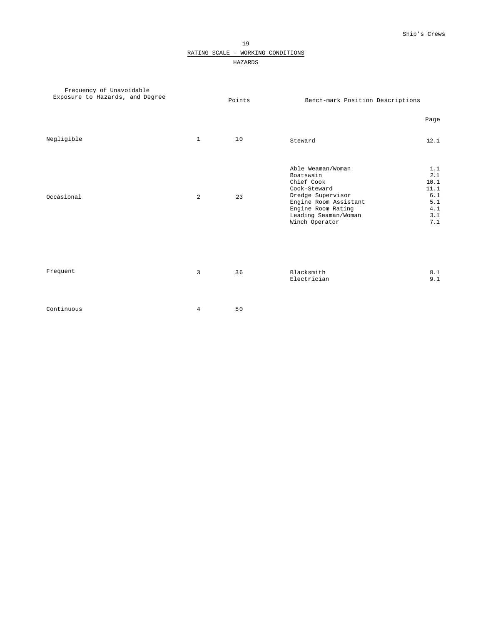## RATING SCALE – WORKING CONDITIONS HAZARDS

| Frequency of Unavoidable<br>Exposure to Hazards, and Degree |                | Points | Bench-mark Position Descriptions                                                                                                                                           |                                                               |
|-------------------------------------------------------------|----------------|--------|----------------------------------------------------------------------------------------------------------------------------------------------------------------------------|---------------------------------------------------------------|
|                                                             |                |        |                                                                                                                                                                            | Page                                                          |
| Negligible                                                  | $\mathbf{1}$   | 10     | Steward                                                                                                                                                                    | 12.1                                                          |
| Occasional                                                  | 2              | 23     | Able Weaman/Woman<br>Boatswain<br>Chief Cook<br>Cook-Steward<br>Dredge Supervisor<br>Engine Room Assistant<br>Engine Room Rating<br>Leading Seaman/Woman<br>Winch Operator | 1.1<br>2.1<br>10.1<br>11.1<br>6.1<br>5.1<br>4.1<br>3.1<br>7.1 |
| Frequent                                                    | 3              | 36     | Blacksmith<br>Electrician                                                                                                                                                  | 8.1<br>9.1                                                    |
| Continuous                                                  | $\overline{4}$ | 50     |                                                                                                                                                                            |                                                               |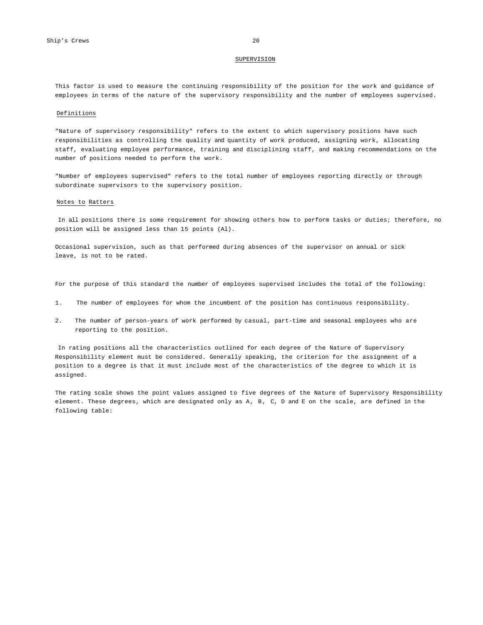#### SUPERVISION

This factor is used to measure the continuing responsibility of the position for the work and guidance of employees in terms of the nature of the supervisory responsibility and the number of employees supervised.

#### Definitions

"Nature of supervisory responsibility" refers to the extent to which supervisory positions have such responsibilities as controlling the quality and quantity of work produced, assigning work, allocating staff, evaluating employee performance, training and disciplining staff, and making recommendations on the number of positions needed to perform the work.

"Number of employees supervised" refers to the total number of employees reporting directly or through subordinate supervisors to the supervisory position.

#### Notes to Ratters

In all positions there is some requirement for showing others how to perform tasks or duties; therefore, no position will be assigned less than 15 points (Al).

Occasional supervision, such as that performed during absences of the supervisor on annual or sick leave, is not to be rated.

For the purpose of this standard the number of employees supervised includes the total of the following:

- 1. The number of employees for whom the incumbent of the position has continuous responsibility.
- 2. The number of person-years of work performed by casual, part-time and seasonal employees who are reporting to the position.

In rating positions all the characteristics outlined for each degree of the Nature of Supervisory Responsibility element must be considered. Generally speaking, the criterion for the assignment of a position to a degree is that it must include most of the characteristics of the degree to which it is assigned.

The rating scale shows the point values assigned to five degrees of the Nature of Supervisory Responsibility element. These degrees, which are designated only as A, B, C, D and E on the scale, are defined in the following table: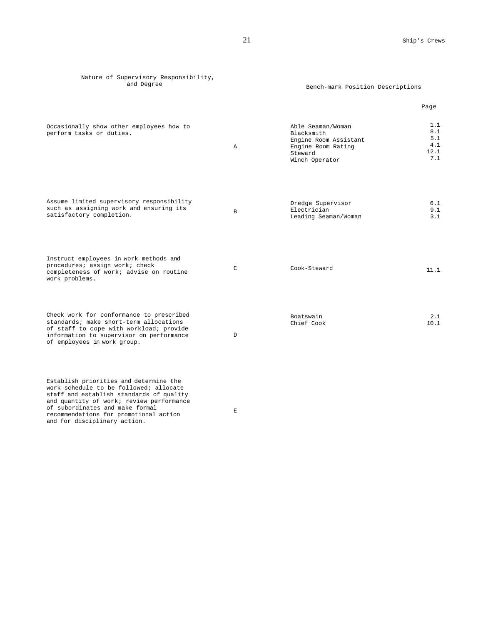| Nature of Supervisory Responsibility,<br>and Degree                                                                                                                                                      |              |                                                                                                             | Bench-mark Position Descriptions        |  |
|----------------------------------------------------------------------------------------------------------------------------------------------------------------------------------------------------------|--------------|-------------------------------------------------------------------------------------------------------------|-----------------------------------------|--|
|                                                                                                                                                                                                          |              |                                                                                                             | Page                                    |  |
| Occasionally show other employees how to<br>perform tasks or duties.                                                                                                                                     | $\mathbb A$  | Able Seaman/Woman<br>Blacksmith<br>Engine Room Assistant<br>Engine Room Rating<br>Steward<br>Winch Operator | 1.1<br>8.1<br>5.1<br>4.1<br>12.1<br>7.1 |  |
| Assume limited supervisory responsibility<br>such as assigning work and ensuring its<br>satisfactory completion.                                                                                         | $\, {\bf B}$ | Dredge Supervisor<br>Electrician<br>Leading Seaman/Woman                                                    | 6.1<br>9.1<br>3.1                       |  |
| Instruct employees in work methods and<br>procedures; assign work; check<br>completeness of work; advise on routine<br>work problems.                                                                    | $\mathsf{C}$ | Cook-Steward                                                                                                | 11.1                                    |  |
| Check work for conformance to prescribed<br>standards; make short-term allocations<br>of staff to cope with workload; provide<br>information to supervisor on performance<br>of employees in work group. | D            | Boatswain<br>Chief Cook                                                                                     | 2.1<br>10.1                             |  |
| Establish priorities and determine the<br>work schedule to be followed; allocate<br>staff and establish standards of quality<br>and quantity of work; review performance                                 |              |                                                                                                             |                                         |  |

E

of subordinates and make formal recommendations for promotional action

and for disciplinary action.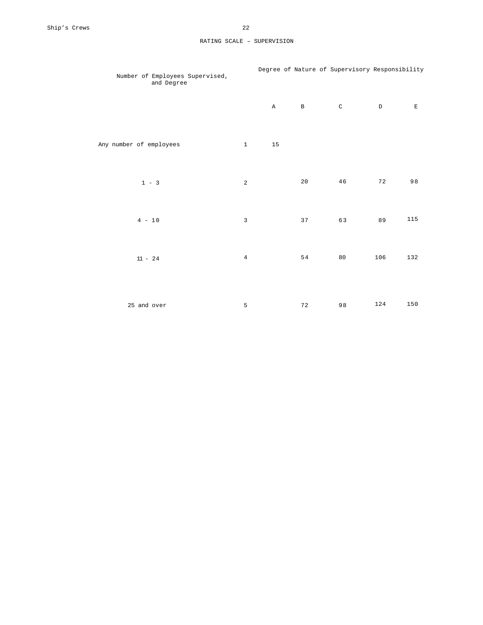## RATING SCALE – SUPERVISION

| Number of Employees Supervised,<br>and Degree |                |              |              | Degree of Nature of Supervisory Responsibility |             |             |
|-----------------------------------------------|----------------|--------------|--------------|------------------------------------------------|-------------|-------------|
|                                               |                | $\, {\bf A}$ | $\, {\bf B}$ | $\mathsf C$                                    | $\mathbb D$ | $\mathbf E$ |
| Any number of employees                       | $\mathbf{1}$   | 15           |              |                                                |             |             |
| $1 - 3$                                       | 2              |              | 20           | 46                                             | 72          | 98          |
| $4 - 10$                                      | $\overline{3}$ |              | 37           | 63                                             | 89          | 115         |
| $11 - 24$                                     | $\overline{4}$ |              | 54           | 80                                             | 106         | 132         |
| 25 and over                                   | 5              |              | 72           | 98                                             | 124         | 150         |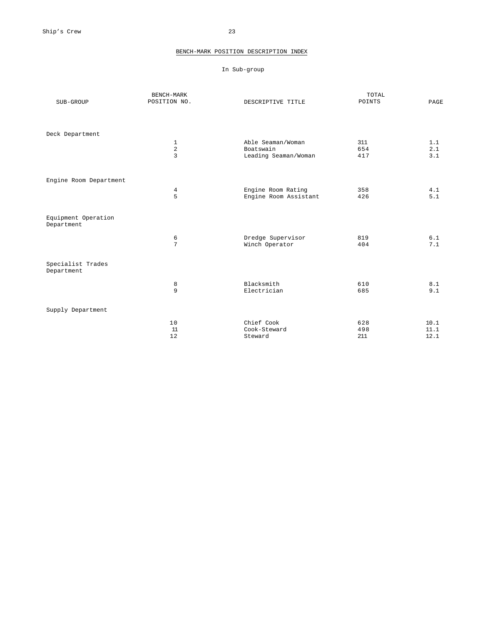## BENCH-MARK POSITION DESCRIPTION INDEX

## In Sub-group

| SUB-GROUP                         | <b>BENCH-MARK</b><br>POSITION NO. | DESCRIPTIVE TITLE                 | TOTAL<br>POINTS | PAGE       |
|-----------------------------------|-----------------------------------|-----------------------------------|-----------------|------------|
|                                   |                                   |                                   |                 |            |
| Deck Department                   |                                   |                                   |                 |            |
|                                   | $\mathbf{1}$                      | Able Seaman/Woman                 | 311             | 1.1        |
|                                   | $\overline{a}$<br>3               | Boatswain<br>Leading Seaman/Woman | 654<br>417      | 2.1<br>3.1 |
|                                   |                                   |                                   |                 |            |
| Engine Room Department            |                                   |                                   |                 |            |
|                                   | $\overline{4}$                    | Engine Room Rating                | 358             | 4.1        |
|                                   | 5                                 | Engine Room Assistant             | 426             | 5.1        |
| Equipment Operation<br>Department |                                   |                                   |                 |            |
|                                   | 6                                 | Dredge Supervisor                 | 819             | 6.1        |
|                                   | $\overline{7}$                    | Winch Operator                    | 404             | 7.1        |
| Specialist Trades<br>Department   |                                   |                                   |                 |            |
|                                   | 8                                 | Blacksmith                        | 610             | 8.1        |
|                                   | 9                                 | Electrician                       | 685             | 9.1        |
| Supply Department                 |                                   |                                   |                 |            |
|                                   | 10                                | Chief Cook                        | 628             | 10.1       |
|                                   | 11                                | Cook-Steward                      | 498             | 11.1       |
|                                   | 12                                | Steward                           | 211             | 12.1       |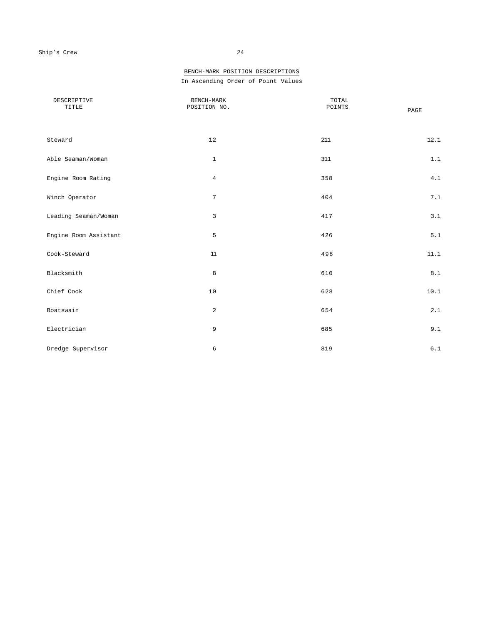## BENCH-MARK POSITION DESCRIPTIONS In Ascending Order of Point Values

| in Ascending Order of Point Values |  |  |
|------------------------------------|--|--|
|                                    |  |  |

| DESCRIPTIVE<br><b>TITLE</b> | BENCH-MARK<br>POSITION NO. | TOTAL<br>POINTS | PAGE  |
|-----------------------------|----------------------------|-----------------|-------|
| Steward                     | 12                         | 211             | 12.1  |
| Able Seaman/Woman           | $\mathbf{1}$               | 311             | 1.1   |
| Engine Room Rating          | $\overline{4}$             | 358             | 4.1   |
| Winch Operator              | $\sqrt{ }$                 | 404             | 7.1   |
| Leading Seaman/Woman        | 3                          | 417             | 3.1   |
| Engine Room Assistant       | 5                          | 426             | 5.1   |
| Cook-Steward                | $11\,$                     | 498             | 11.1  |
| Blacksmith                  | $\,8\,$                    | 610             | 8.1   |
| Chief Cook                  | $10$                       | 628             | 10.1  |
| Boatswain                   | $\overline{a}$             | 654             | 2.1   |
| Electrician                 | 9                          | 685             | 9.1   |
| Dredge Supervisor           | $\epsilon$                 | 819             | $6.1$ |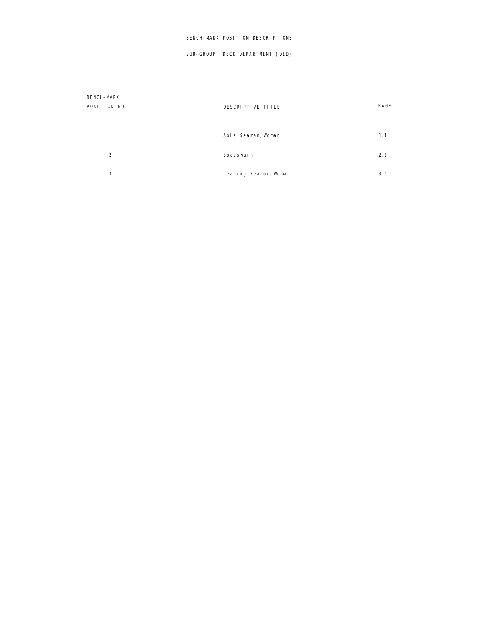## BENCH-MARK POSITION DESCRIPTIONS

## SUB-GROUP: DECK DEPARTMENT (DED)

| <b>BENCH-MARK</b> |                      |      |
|-------------------|----------------------|------|
| POSITION NO.      | DESCRIPTIVE TITLE    | PAGE |
|                   |                      |      |
|                   |                      |      |
| 1                 | Able Seaman/Woman    | 1.1  |
|                   |                      |      |
| $\overline{2}$    | Boatswain            | 2.1  |
|                   |                      |      |
| 3                 | Leading Seaman/Woman | 3.1  |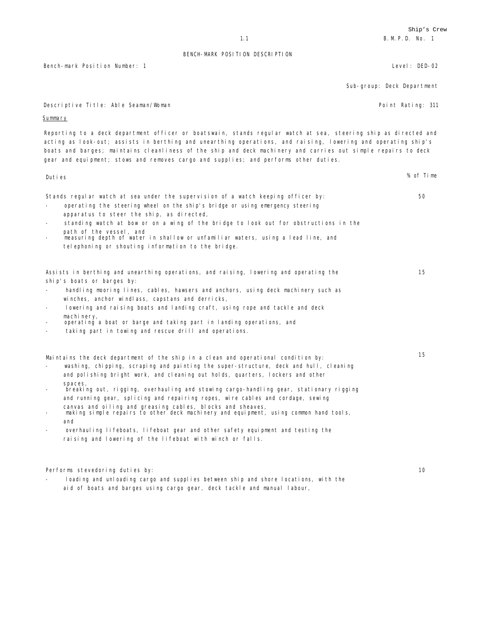#### BENCH-MARK POSITION DESCRIPTION

Bench-mark Position Number: 1 and 1 and 1 and 1 and 1 and 1 and 1 and 1 and 1 and 1 and 1 and 1 and 1 and 1 and 1 and 1 and 1 and 1 and 1 and 1 and 1 and 1 and 1 and 1 and 1 and 1 and 1 and 1 and 1 and 1 and 1 and 1 and 1 Sub-group: Deck Department Descriptive Title: Able Seaman/Woman Point Rating: 311 **Summary** Reporting to a deck department officer or boatswain, stands regular watch at sea, steering ship as directed and acting as look-out; assists in berthing and unearthing operations, and raising, lowering and operating ship's boats and barges; maintains cleanliness of the ship and deck machinery and carries out simple repairs to deck gear and equipment; stows and removes cargo and supplies; and performs other duties. Duties % of Time Stands regular watch at sea under the supervision of a watch keeping officer by: 50 - operating the steering wheel on the ship's bridge or using emergency steering apparatus to steer the ship, as directed, standing watch at bow or on a wing of the bridge to look out for obstructions in the path of the vessel, and - measuring depth of water in shallow or unfamiliar waters, using a lead line, and tel ephoning or shouting information to the bridge. Assists in berthing and unearthing operations, and raising, lowering and operating the ship's boats or barges by: 15 handling mooring lines, cables, hawsers and anchors, using deck machinery such as winches, anchor windlass, capstans and derricks, lowering and raising boats and landing craft, using rope and tackle and deck machinery, operating a boat or barge and taking part in landing operations, and taking part in towing and rescue drill and operations. Maintains the deck department of the ship in a clean and operational condition by: 15 washing, chipping, scraping and painting the super-structure, deck and hull, cleaning and polishing bright work, and cleaning out holds, quarters, lockers and other spaces, - breaking out, rigging, overhauling and stowing cargo-handling gear, stationary rigging and running gear, splicing and repairing ropes, wire cables and cordage, sewing canvas and oiling and greasing cables, blocks and sheaves, - making simple repairs to other deck machinery and equipment, using common hand tools, and overhauling lifeboats, lifeboat gear and other safety equipment and testing the raising and lowering of the lifeboat with winch or falls. Performs stevedoring duties by: 10

- loading and unloading cargo and supplies between ship and shore locations, with the aid of boats and barges using cargo gear, deck tackle and manual labour,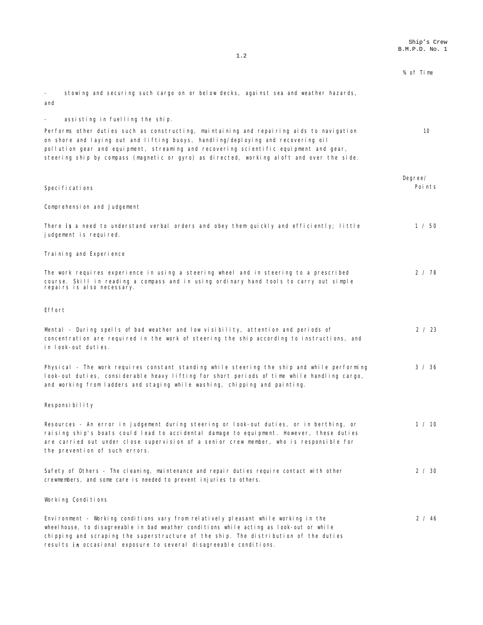|                                                                                                                                                                                                                                                                                                                                                                    | Ship's Crew        |
|--------------------------------------------------------------------------------------------------------------------------------------------------------------------------------------------------------------------------------------------------------------------------------------------------------------------------------------------------------------------|--------------------|
| 1.2                                                                                                                                                                                                                                                                                                                                                                | B.M.P.D. No. 1     |
|                                                                                                                                                                                                                                                                                                                                                                    | % of Time          |
| stowing and securing such cargo on or below decks, against sea and weather hazards,<br>$\overline{\phantom{a}}$<br>and                                                                                                                                                                                                                                             |                    |
| assisting in fuelling the ship.                                                                                                                                                                                                                                                                                                                                    |                    |
| Performs other duties such as constructing, maintaining and repairing aids to navigation<br>on shore and laying out and lifting buoys, handling/deploying and recovering oil<br>pollution gear and equipment, streaming and recovering scientific equipment and gear,<br>steering ship by compass (magnetic or gyro) as directed, working aloft and over the side. | 10                 |
| Speci fi cati ons                                                                                                                                                                                                                                                                                                                                                  | Degree/<br>Poi nts |
| Comprehension and Judgement                                                                                                                                                                                                                                                                                                                                        |                    |
| There is a need to understand verbal orders and obey them quickly and efficiently; little<br>judgement is required.                                                                                                                                                                                                                                                | 1 / 50             |
| Training and Experience                                                                                                                                                                                                                                                                                                                                            |                    |
| The work requires experience in using a steering wheel and in steering to a prescribed<br>course. Skill in reading a compass and in using ordinary hand tools to carry out simple<br>repairs is also necessary.                                                                                                                                                    | 2 / 78             |
| Effort                                                                                                                                                                                                                                                                                                                                                             |                    |
| Mental – During spells of bad weather and low visibility, attention and periods of<br>concentration are required in the work of steering the ship according to instructions, and<br>in look-out duties.                                                                                                                                                            | 2 / 23             |
| Physical - The work requires constant standing while steering the ship and while performing<br>look-out duties, considerable heavy lifting for short periods of time while handling cargo,<br>and working from ladders and staging while washing, chipping and painting.                                                                                           | $3 \times 36$      |
| Responsibility                                                                                                                                                                                                                                                                                                                                                     |                    |
| Resources – An error in judgement during steering or look-out duties, or in berthing, or<br>raising ship's boats could lead to accidental damage to equipment. However, these duties<br>are carried out under close supervision of a senior crew member, who is responsible for<br>the prevention of such errors.                                                  | 1 / 10             |
| Safety of Others - The cleaning, maintenance and repair duties require contact with other<br>crewmembers, and some care is needed to prevent injuries to others.                                                                                                                                                                                                   | 2 / 30             |
| Working Conditions                                                                                                                                                                                                                                                                                                                                                 |                    |
| Environment - Working conditions vary from relatively pleasant while working in the<br>wheelhouse,to disagreeable in bad weather conditions while acting as look-out or while<br>chipping and scraping the superstructure of the ship. The distribution of the duties<br>results in occasional exposure to several disagreeable conditions.                        | 2 / 46             |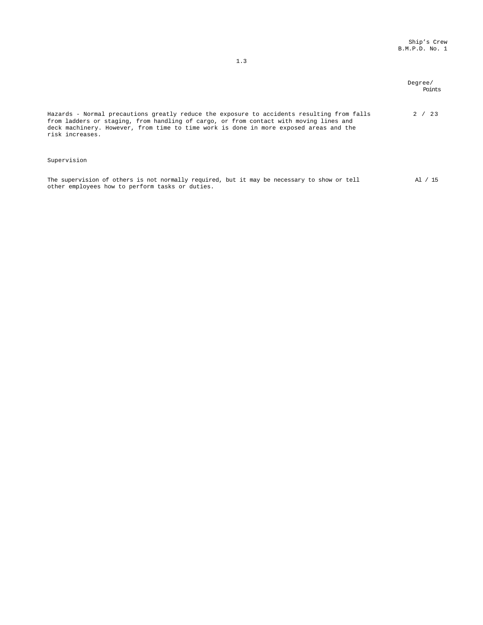Ship's Crew B.M.P.D. No. 1

| Degree/ |
|---------|
| Points  |
|         |
|         |

Hazards - Normal precautions greatly reduce the exposure to accidents resulting from falls from ladders or staging, from handling of cargo, or from contact with moving lines and deck machinery. However, from time to time work is done in more exposed areas and the risk increases. 2 / 23

## Supervision

The supervision of others is not normally required, but it may be necessary to show or tell other employees how to perform tasks or duties. Al / 15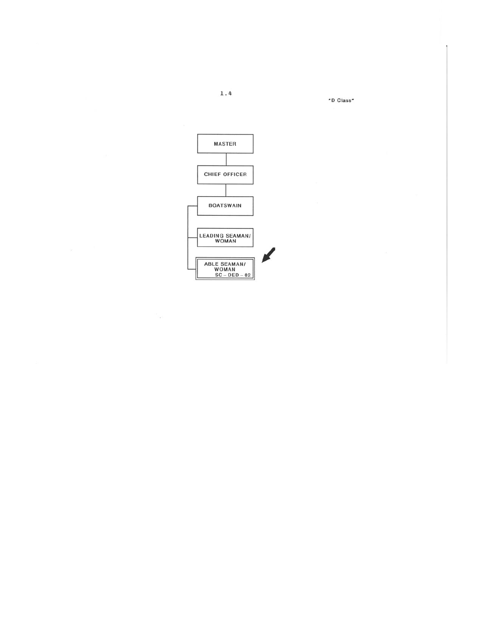"D Class"



 $\sim$ 

 $1\,.4$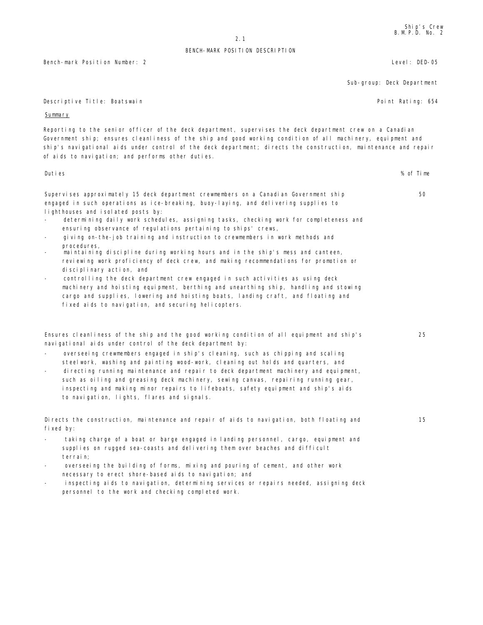Ship's Crew B.M.P.D. No. 2

#### BENCH-MARK POSITION DESCRIPTION

Bench-mark Position Number: 2 2 Level: DED-05

15

Sub-group: Deck Department

Descriptive Title: Boatswain Point Rating: 654

#### **Summary**

Reporting to the senior officer of the deck department, supervises the deck department crew on a Canadian Government ship; ensures cleanliness of the ship and good working condition of all machinery, equipment and ship's navigational aids under control of the deck department; directs the construction, maintenance and repair of aids to navigation; and performs other duties.

Duties % of Time Supervises approximately 15 deck department crewmembers on a Canadian Government ship engaged in such operations as ice-breaking, buoy-laying, and delivering supplies to lighthouses and isolated posts by: 50 determining daily work schedules, assigning tasks, checking work for completeness and ensuring observance of regulations pertaining to ships' crews, - giving on-the-job training and instruction to crewmembers in work methods and procedures, - maintaining discipline during working hours and in the ship's mess and canteen, reviewing work proficiency of deck crew, and making recommendations for promotion or disciplinary action, and controlling the deck department crew engaged in such activities as using deck machinery and hoisting equipment, berthing and unearthing ship, handling and stowing cargo and supplies, lowering and hoisting boats, landing craft, and floating and fixed aids to navigation, and securing helicopters. Ensures cleanliness of the ship and the good working condition of all equipment and ship's navigational aids under control of the deck department by: 25 overseeing crewmembers engaged in ship's cleaning, such as chipping and scaling steelwork, washing and painting wood-work, cleaning out holds and quarters, and directing running maintenance and repair to deck department machinery and equipment,

such as oiling and greasing deck machinery, sewing canvas, repairing running gear, inspecting and making minor repairs to lifeboats, safety equipment and ship's aids to navigation, lights, flares and signals.

Directs the construction, maintenance and repair of aids to navigation, both floating and fixed by:

- taking charge of a boat or barge engaged in landing personnel, cargo, equipment and supplies on rugged sea-coasts and delivering them over beaches and difficult terrain;
- overseeing the building of forms, mixing and pouring of cement, and other work necessary to erect shore-based aids to navigation; and
- inspecting aids to navigation, determining services or repairs needed, assigning deck personnel to the work and checking completed work.

2.1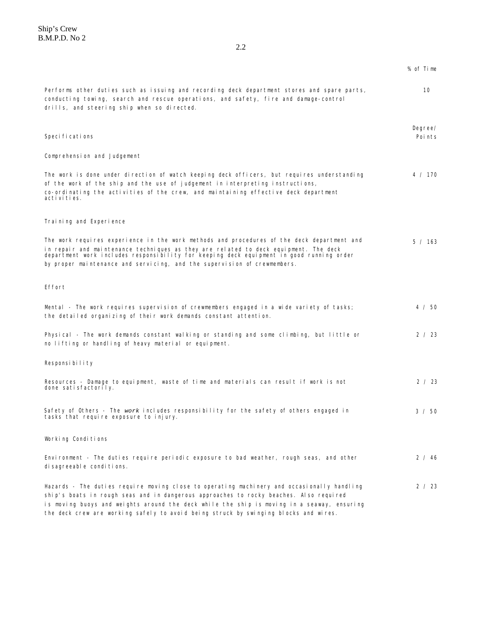|                                                                                                                                                                                                                                                                                                                                                                            | % of Time          |
|----------------------------------------------------------------------------------------------------------------------------------------------------------------------------------------------------------------------------------------------------------------------------------------------------------------------------------------------------------------------------|--------------------|
| Performs other duties such as issuing and recording deck department stores and spare parts,<br>conducting towing, search and rescue operations, and safety, fire and damage-control<br>drills, and steering ship when so directed.                                                                                                                                         | 10                 |
| Speci fi cati ons                                                                                                                                                                                                                                                                                                                                                          | Degree/<br>Poi nts |
| Comprehension and Judgement                                                                                                                                                                                                                                                                                                                                                |                    |
| The work is done under direction of watch keeping deck officers, but requires understanding<br>of the work of the ship and the use of judgement in interpreting instructions,<br>co-ordinating the activities of the crew, and maintaining effective deck department<br>acti vi ti es.                                                                                     | 4 / 170            |
| Training and Experience                                                                                                                                                                                                                                                                                                                                                    |                    |
| The work requires experience in the work methods and procedures of the deck department and<br>in repair and maintenance techniques as they are related to deck equipment. The deck<br>department work includes responsibility for keeping deck equipment in good running order<br>by proper maintenance and servicing, and the supervision of crewmembers.                 | 5 / 163            |
| Effort                                                                                                                                                                                                                                                                                                                                                                     |                    |
| Mental - The work requires supervision of crewmembers engaged in a wide variety of tasks;<br>the detailed organizing of their work demands constant attention.                                                                                                                                                                                                             | 4 / 50             |
| Physical - The work demands constant walking or standing and some climbing, but little or<br>no lifting or handling of heavy material or equipment.                                                                                                                                                                                                                        | 2 / 23             |
| Responsibility                                                                                                                                                                                                                                                                                                                                                             |                    |
| Resources - Damage to equipment, waste of time and materials can result if work is not<br>done satisfactorily.                                                                                                                                                                                                                                                             | 2 / 23             |
| Safety of Others - The work includes responsibility for the safety of others engaged in<br>tasks that require exposure to injury.                                                                                                                                                                                                                                          | 3 / 50             |
| Working Conditions                                                                                                                                                                                                                                                                                                                                                         |                    |
| Environment - The duties require periodic exposure to bad weather, rough seas, and other<br>di sagreeable condi ti ons.                                                                                                                                                                                                                                                    | 2 / 46             |
| Hazards - The duties require moving close to operating machinery and occasionally handling<br>ship's boats in rough seas and in dangerous approaches to rocky beaches. Also required<br>is moving buoys and weights around the deck while the ship is moving in a seaway, ensuring<br>the deck crew are working safely to avoid being struck by swinging blocks and wires. | 2 / 23             |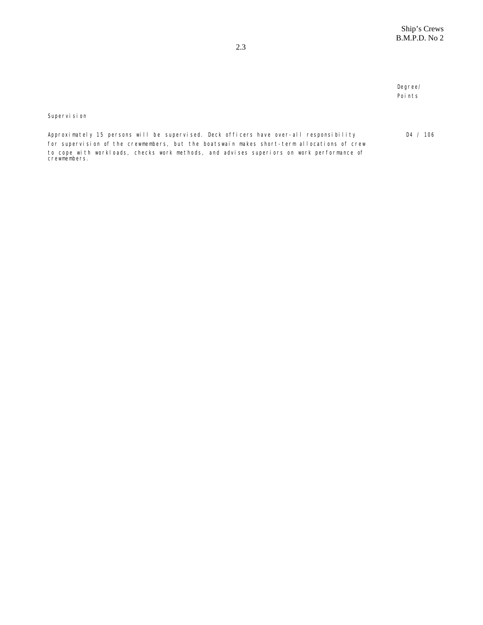Degree/ Points

Supervi si on

Approximately 15 persons will be supervised. Deck officers have over-all responsibility for supervision of the crewmembers, but the boatswain makes short-term allocations of crew to cope with workloads, checks work methods, and advises superiors on work performance of crewmembers.

D4 / 106

2.3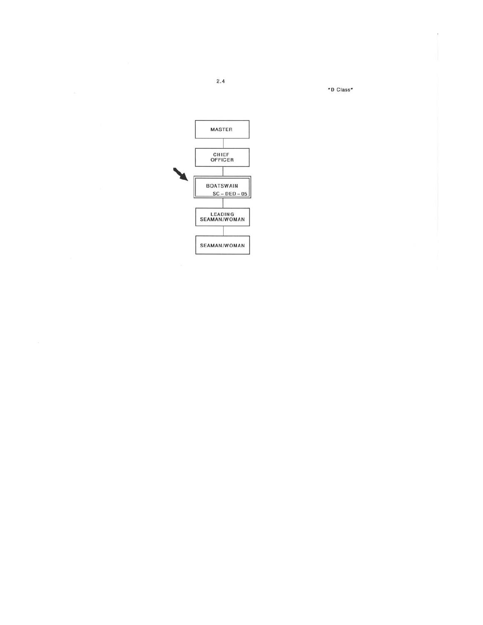"D Class"



 $\sim$ 

 $2.4$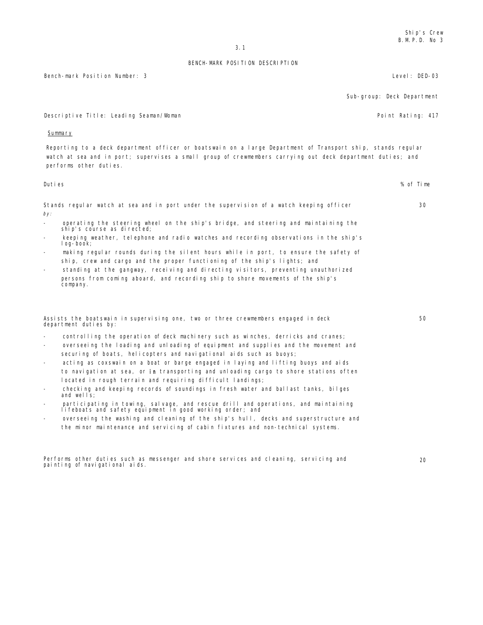### BENCH-MARK POSITION DESCRIPTION

Bench-mark Position Number: 3 Level: DED-03

Sub-group: Deck Department

Descriptive Title: Leading Seaman/Woman Point Rating: 417

Summary

Reporting to a deck department officer or boatswain on a large Department of Transport ship, stands regular watch at sea and in port; supervises a small group of crewmembers carrying out deck department duties; and performs other duties.

Duties % of Time

|     |  | Stands regular watch at sea and in port under the supervision of a watch keeping officer | 30 |  |
|-----|--|------------------------------------------------------------------------------------------|----|--|
| by: |  |                                                                                          |    |  |

- operating the steering wheel on the ship's bridge, and steering and maintaining the ship's course as directed;
- keeping weather, telephone and radio watches and recording observations in the ship's log-book;
- making regular rounds during the silent hours while in port, to ensure the safety of ship, crew and cargo and the proper functioning of the ship's lights; and
- standing at the gangway, receiving and directing visitors, preventing unauthorized persons from coming aboard, and recording ship to shore movements of the ship's company.
- Assists the boatswain in supervising one, two or three crewmembers engaged in deck department duties by:
- controlling the operation of deck machinery such as winches, derricks and cranes;
- overseeing the loading and unloading of equipment and supplies and the movement and securing of boats, helicopters and navigational aids such as buoys;
- acting as coxswain on a boat or barge engaged in laying and lifting buoys and aids to navigation at sea, or in transporting and unloading cargo to shore stations often located in rough terrain and requiring difficult landings;
- checking and keeping records of soundings in fresh water and ballast tanks, bilges and wells;
- participating in towing, salvage, and rescue drill and operations, and maintaining lifeboats and safety equipment in good working order; and
- overseeing the washing and cleaning of the ship's hull, decks and superstructure and the minor maintenance and servicing of cabin fixtures and non-technical systems.

Performs other duties such as messenger and shore services and cleaning, servicing and painting of navigational aids.

50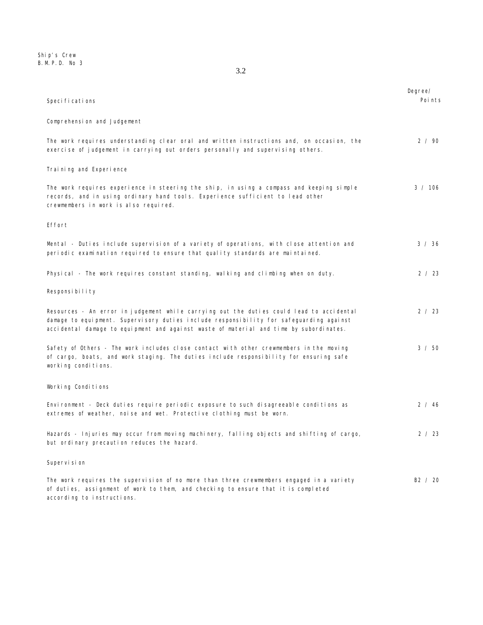Ship's Crew B.M.P.D. No 3

3.2

| Speci fi cati ons                                                                                                                                                                                                                                                            | Degree/<br>Poi nts  |
|------------------------------------------------------------------------------------------------------------------------------------------------------------------------------------------------------------------------------------------------------------------------------|---------------------|
| Comprehension and Judgement                                                                                                                                                                                                                                                  |                     |
| The work requires understanding clear oral and written instructions and, on occasion, the<br>exercise of judgement in carrying out orders personally and supervising others.                                                                                                 | 2 / 90              |
| Training and Experience                                                                                                                                                                                                                                                      |                     |
| The work requires experience in steering the ship, in using a compass and keeping simple<br>records, and in using ordinary hand tools. Experience sufficient to lead other<br>crewmembers in work is also required.                                                          | 3 / 106             |
| Effort                                                                                                                                                                                                                                                                       |                     |
| Mental – Duties include supervision of a variety of operations, with close attention and<br>periodic examination required to ensure that quality standards are maintained.                                                                                                   | 3 / 36              |
| Physical - The work requires constant standing, walking and climbing when on duty.                                                                                                                                                                                           | 2 / 23              |
| Responsibility                                                                                                                                                                                                                                                               |                     |
| Resources - An error injudgement while carrying out the duties could lead to accidental<br>damage to equipment. Supervisory duties include responsibility for safeguarding against<br>accidental damage to equipment and against waste of material and time by subordinates. | 2 / 23              |
| Safety of Others - The work includes close contact with other crewmembers in the moving<br>of cargo, boats, and work staging. The duties include responsibility for ensuring safe<br>working conditions.                                                                     | 3 / 50              |
| Working Conditions                                                                                                                                                                                                                                                           |                     |
| Environment - Deck duties require periodic exposure to such disagreeable conditions as<br>extremes of weather, noise and wet. Protective clothing must be worn.                                                                                                              | 2 / 46              |
| Hazards - Injuries may occur from moving machinery, falling objects and shifting of cargo,<br>but ordinary precaution reduces the hazard.                                                                                                                                    | 2 / 23              |
| Supervi si on                                                                                                                                                                                                                                                                |                     |
| The work requires the supervision of no more than three crewmembers engaged in a variety<br>of duties, assignment of work to them, and checking to ensure that it is completed<br>according to instructions.                                                                 | B <sub>2</sub> / 20 |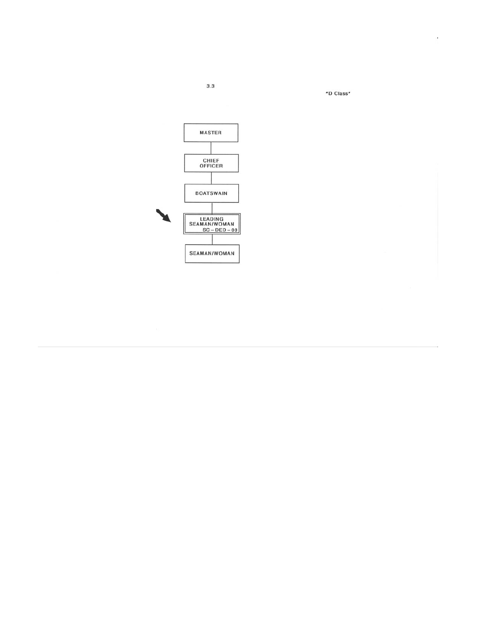"D Class"

÷.



 $3.3\,$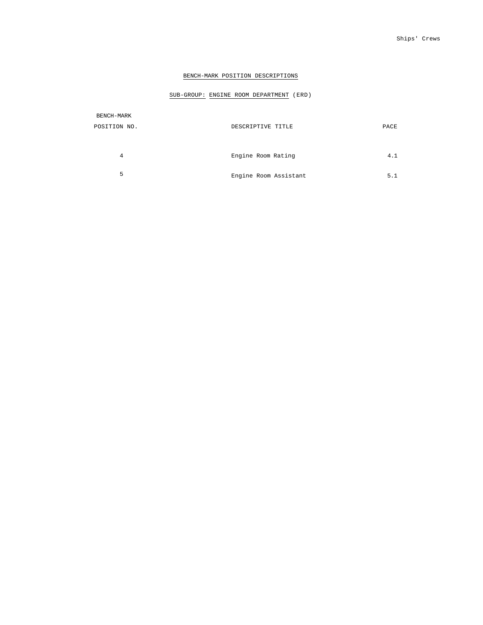# BENCH-MARK POSITION DESCRIPTIONS

# SUB-GROUP: ENGINE ROOM DEPARTMENT (ERD)

| BENCH-MARK     |                       |      |
|----------------|-----------------------|------|
| POSITION NO.   | DESCRIPTIVE TITLE     | PACE |
|                |                       |      |
|                |                       |      |
| $\overline{4}$ | Engine Room Rating    | 4.1  |
|                |                       |      |
| 5              | Engine Room Assistant | 5.1  |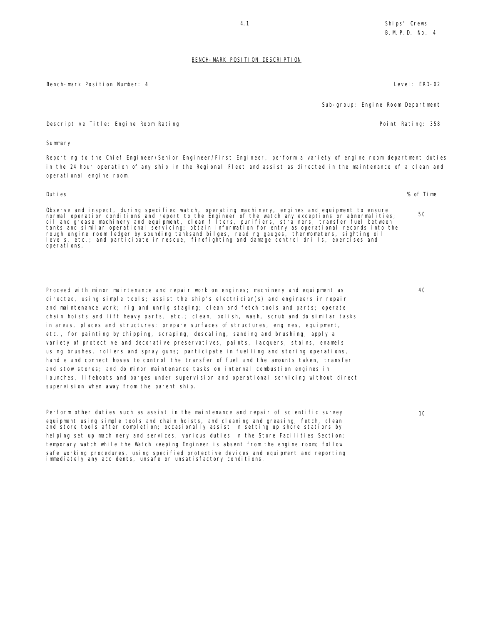## BENCH-MARK POSITION DESCRIPTION

Bench-mark Position Number: 4 Level: ERD-02

Sub-group: Engine Room Department

Descriptive Title: Engine Room Rating Point Rating: 358

**Summary** 

Reporting to the Chief Engineer/Senior Engineer/First Engineer, perform a variety of engine room department duties in the 24 hour operation of any ship in the Regional Fleet and assist as directed in the maintenance of a clean and operational engine room.

Observe and inspect, during specified watch, operating machinery, engines and equipment to ensure<br>normal operation conditions and report to the Engineer of the watch any exceptions or abnormalities;<br>oil and grease machiner operations.

Proceed with minor maintenance and repair work on engines; machinery and equipment as directed, using simple tools; assist the ship's electrician(s) and engineers in repair and maintenance work; rig and unrig staging; clean and fetch tools and parts; operate chain hoists and lift heavy parts, etc.; clean, polish, wash, scrub and do similar tasks in areas, places and structures; prepare surfaces of structures, engines, equipment, etc., for painting by chipping, scraping, descaling, sanding and brushing; apply a variety of protective and decorative preservatives, paints, lacquers, stains, enamels using brushes, rollers and spray guns; participate in fuelling and storing operations, handle and connect hoses to control the transfer of fuel and the amounts taken, transfer and stow stores; and do minor maintenance tasks on internal combustion engines in launches, lifeboats and barges under supervision and operational servicing without direct supervision when away from the parent ship.

Perform other duties such as assist in the maintenance and repair of scientific survey equipment using simple tools and chain hoists, and cleaning and greasing; fetch, clean and store tools after completion; occasionally assist in setting up shore stations by helping set up machinery and services; various duties in the Store Facilities Section; temporary watch while the Watch keeping Engineer is absent from the engine room; follow safe working procedures, using specified protective devices and equipment and reporting immediately any accidents, unsafe or unsatisfactory conditions.

40

10

Duties % of Time

50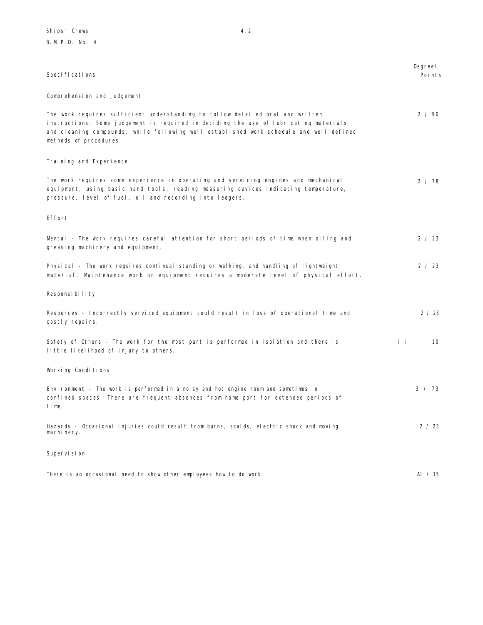Ships' Crews 4.2 B.M.P.D. No. 4 Speci fi cati ons Degree/ Points Comprehension and Judgement The work requires sufficient understanding to follow detailed oral and written instructions. Some judgement is required in deciding the use of lubricating materials and cleaning compounds, while following well established work schedule and well defined methods of procedures. 2 / 90 Training and Experience The work requires some experience in operating and servicing engines and mechanical equipment, using basic hand tools, reading measuring devices indicating temperature, pressure, level of fuel, oil and recording into ledgers. 2 / 78 Effort Mental - The work requires careful attention for short periods of time when oiling and greasing machinery and equipment. 2 / 23 Physical - The work requires continual standing or walking, and handling of lightweight material. Maintenance work on equipment requires a moderate level of physical effort. 2 / 23 Responsibility Resources - Incorrectly serviced equipment could result in loss of operational time and costly repairs. 2 / 23 Safety of Others - The work for the most part is performed in isolation and there is little likelihood of injury to others. ï i 10 Working Conditions Environment - The work is performed in a noisy and hot engine room and sometimes in confined spaces. There are frequent absences from home port for extended periods of time. 3 / 73 Hazards - Occasional injuries could result from burns, scalds, electric shock and moving machinery. 2 / 23

Supervision

There is an occasional need to show other employees how to do work. There is an occasional need to show other employees how to do work.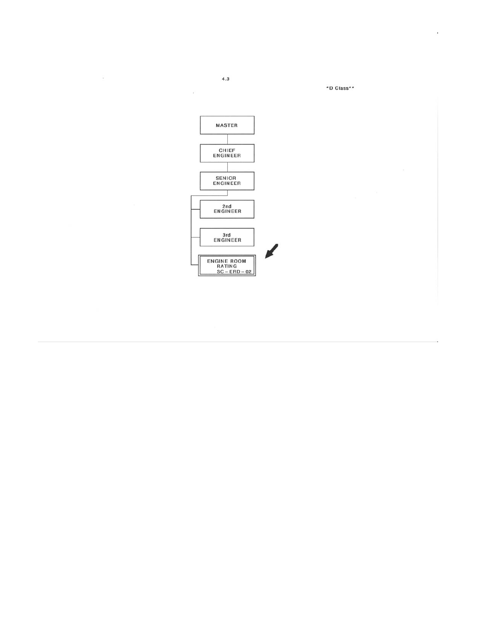"D Class""

÷.



 $4.3$ 

 $\omega$ 

 $\frac{1}{\sqrt{2}}$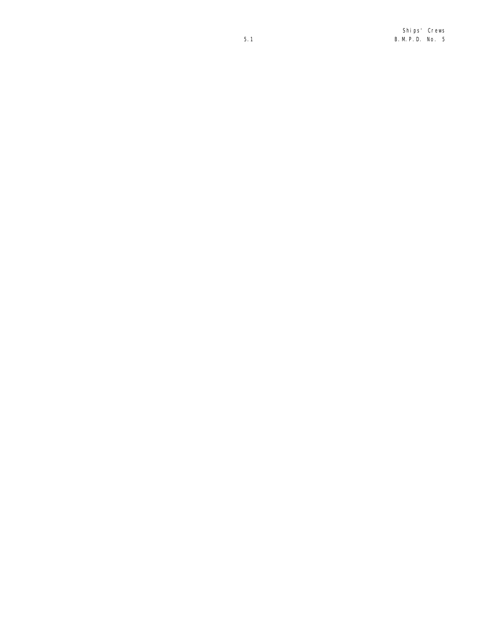Ships' Crews 5.1 B.M.P.D. No. 5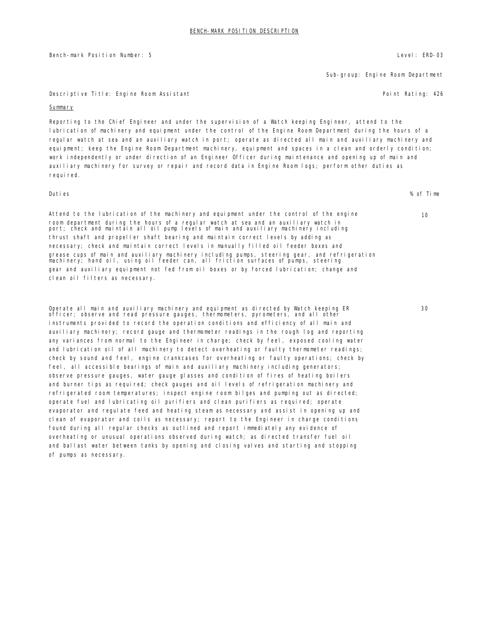Sub-group: Engine Room Department

### Descriptive Title: Engine Room Assistant Point Rating: 426

### **Summary**

Reporting to the Chief Engineer and under the supervision of a Watch keeping Engineer, attend to the lubrication of machinery and equipment under the control of the Engine Room Department during the hours of a regular watch at sea and an auxiliary watch in port; operate as directed all main and auxiliary machinery and equipment; keep the Engine Room Department machinery, equipment and spaces in a clean and orderly condition; work independently or under direction of an Engineer Officer during maintenance and opening up of main and auxiliary machinery for survey or repair and record data in Engine Room logs; perform other duties as required.

#### Duties % of Time

Attend to the lubrication of the machinery and equipment under the control of the engine room department during the hours of a regular watch at sea and an auxiliary watch in port; check and maintain all oil pump levels of main and auxiliary machinery including thrust shaft and propeller shaft bearing and maintain correct levels by adding as necessary; check and maintain correct levels in manually filled oil feeder boxes and grease cups of main and auxiliary machinery including pumps, steering gear, and refrigeration machinery; hand oil, using oil feeder can, all friction surfaces of pumps, steering gear and auxiliary equipment not fed from oil boxes or by forced lubrication; change and clean oil filters as necessary.

Operate all main and auxiliary machinery and equipment as directed by Watch keeping ER officer; observe and read pressure gauges, thermometers, pyrometers, and all other instruments provided to record the operation conditions and efficiency of all main and auxiliary machinery; record gauge and thermometer readings in the rough log and reporting any variances from normal to the Engineer in charge; check by feel, exposed cooling water and lubrication oil of all machinery to detect overheating or faulty thermometer readings; check by sound and feel, engine crankcases for overheating or faulty operations; check by feel, all accessible bearings of main and auxiliary machinery including generators; observe pressure gauges, water gauge glasses and condition of fires of heating boilers and burner tips as required; check gauges and oil levels of refrigeration machinery and refrigerated room temperatures; inspect engine room bilges and pumping out as directed; operate fuel and lubricating oil purifiers and clean purifiers as required; operate evaporator and regulate feed and heating steam as necessary and assist in opening up and clean of evaporator and coils as necessary; report to the Engineer in charge conditions found during all regular checks as outlined and report immediately any evidence of overheating or unusual operations observed during watch; as directed transfer fuel oil and ballast water between tanks by opening and closing valves and starting and stopping of pumps as necessary.

10

30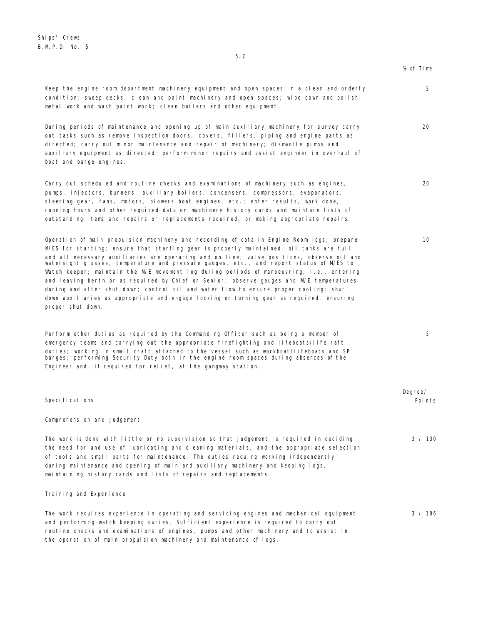Ships' Crews B.M.P.D. No. 5

5.2

| Keep the engine room department machinery equipment and open spaces in a clean and orderly<br>condition; sweep decks, clean and paint machinery and open spaces; wipe down and polish<br>metal work and wash paint work; clean boilers and other equipment.                                                                                                                                                                                                                                                                                                                                                                                                                                                                                                                     | 5                  |
|---------------------------------------------------------------------------------------------------------------------------------------------------------------------------------------------------------------------------------------------------------------------------------------------------------------------------------------------------------------------------------------------------------------------------------------------------------------------------------------------------------------------------------------------------------------------------------------------------------------------------------------------------------------------------------------------------------------------------------------------------------------------------------|--------------------|
| During periods of maintenance and opening up of main auxiliary machinery for survey carry<br>out tasks such as remove inspection doors, covers, fillers, piping and engine parts as<br>directed; carry out minor maintenance and repair of machinery; dismantle pumps and<br>auxiliary equipment as directed; perform minor repairs and assist engineer in overhaul of<br>boat and barge engines.                                                                                                                                                                                                                                                                                                                                                                               | 20                 |
| Carry out scheduled and routine checks and examinations of machinery such as engines,<br>pumps, injectors, burners, auxiliary boilers, condensers, compressors, evaporators,<br>steering gear, fans, motors, blowers boat engines, etc.; enter results, work done,<br>running hours and other required data on machinery history cards and maintain lists of<br>outstanding items and repairs or replacements required, or making appropriate repairs.                                                                                                                                                                                                                                                                                                                          | 20                 |
| Operation of main propulsion machinery and recording of data in Engine Room logs; prepare<br>M/ES for starting; ensure that starting gear is properly maintained, oil tanks are full<br>and all necessary auxiliaries are operating and on line; valve positions, observe oil and<br>watersight glasses, temperature and pressure gauges, etc., and report status of M/ES to<br>Watch keeper; maintain the M/E movement log during periods of manoeuvring, i.e., entering<br>and leaving berth or as required by Chief or Senior; observe gauges and M/E temperatures<br>during and after shut down; control oil and water flow to ensure proper cooling; shut<br>down auxiliaries as appropriate and engage locking or turning gear as required, ensuring<br>proper shut down. | 10                 |
| Perform other duties as required by the Commanding Officer such as being a member of<br>emergency teams and carrying out the appropriate firefighting and lifeboats/life raft<br>duties; working in small craft attached to the vessel such as workboat/lifeboats and SP<br>barges; performing Security Duty both in the engine room spaces during absences of the<br>Engineer and, if required for relief, at the gangway station.                                                                                                                                                                                                                                                                                                                                             | 5                  |
| Speci fi cati ons                                                                                                                                                                                                                                                                                                                                                                                                                                                                                                                                                                                                                                                                                                                                                               | Degree/<br>Poi nts |
| Comprehension and Judgement                                                                                                                                                                                                                                                                                                                                                                                                                                                                                                                                                                                                                                                                                                                                                     |                    |
| The work is done with little or no supervision so that judgement is required in deciding<br>the need for and use of lubricating and cleaning materials, and the appropriate selection<br>of tools and small parts for maintenance. The duties require working independently<br>during maintenance and opening of main and auxiliary machinery and keeping logs,<br>maintaining history cards and lists of repairs and replacements.                                                                                                                                                                                                                                                                                                                                             | 3 / 130            |
| Training and Experience                                                                                                                                                                                                                                                                                                                                                                                                                                                                                                                                                                                                                                                                                                                                                         |                    |
| The work requires experience in operating and servicing engines and mechanical equipment<br>and performing watch keeping duties. Sufficient experience is required to carry out<br>routine checks and examinations of engines, pumps and other machinery and to assist in<br>the operation of main propulsion machinery and maintenance of logs.                                                                                                                                                                                                                                                                                                                                                                                                                                | 3 / 106            |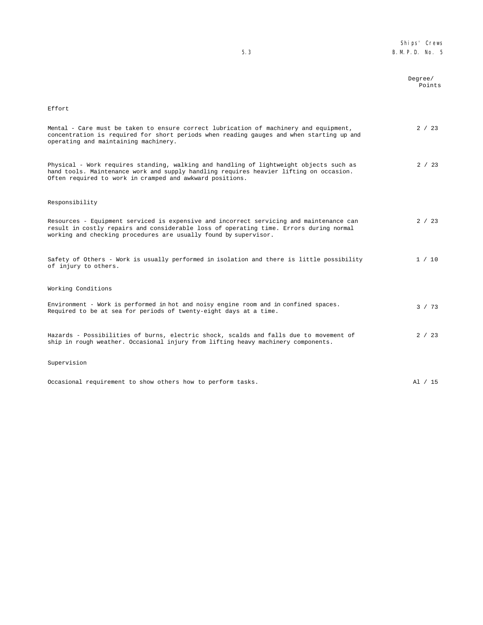# Ships' Crews 5.3 B.M.P.D. No. 5

## Effort

| Mental - Care must be taken to ensure correct lubrication of machinery and equipment,<br>concentration is required for short periods when reading gauges and when starting up and<br>operating and maintaining machinery.                             | 2 / 23  |
|-------------------------------------------------------------------------------------------------------------------------------------------------------------------------------------------------------------------------------------------------------|---------|
| Physical - Work requires standing, walking and handling of lightweight objects such as<br>hand tools. Maintenance work and supply handling requires heavier lifting on occasion.<br>Often required to work in cramped and awkward positions.          | 2 / 23  |
| Responsibility                                                                                                                                                                                                                                        |         |
| Resources - Equipment serviced is expensive and incorrect servicing and maintenance can<br>result in costly repairs and considerable loss of operating time. Errors during normal<br>working and checking procedures are usually found by supervisor. | 2 / 23  |
| Safety of Others - Work is usually performed in isolation and there is little possibility<br>of injury to others.                                                                                                                                     | 1 / 10  |
| Working Conditions                                                                                                                                                                                                                                    |         |
| Environment - Work is performed in hot and noisy engine room and in confined spaces.<br>Required to be at sea for periods of twenty-eight days at a time.                                                                                             | 3 / 73  |
| Hazards - Possibilities of burns, electric shock, scalds and falls due to movement of<br>ship in rough weather. Occasional injury from lifting heavy machinery components.                                                                            | 2 / 23  |
| Supervision                                                                                                                                                                                                                                           |         |
| Occasional requirement to show others how to perform tasks.                                                                                                                                                                                           | Al / 15 |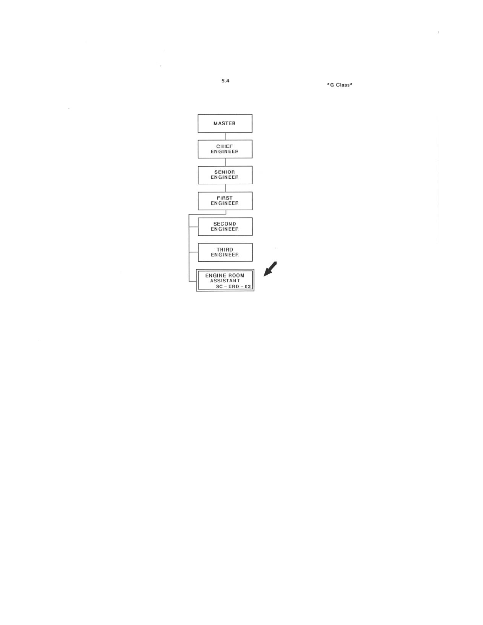"G Class"

 $\bar{1}$ 



 $\bar{r}$ 

 $\epsilon$ 

 $\sim$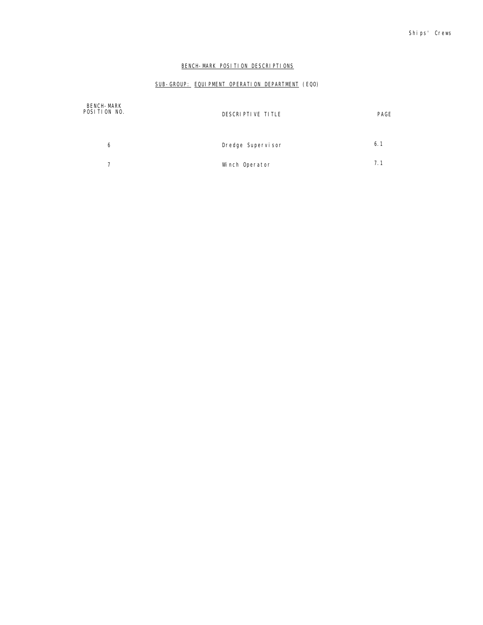# BENCH-MARK POSITION DESCRIPTIONS

# SUB-GROUP: EQUIPMENT OPERATION DEPARTMENT (EQO)

| BENCH-MARK<br>POSITION NO. | DESCRIPTIVE TITLE | PAGE |
|----------------------------|-------------------|------|
| 6                          | Dredge Supervisor | 6.1  |
|                            | Winch Operator    | 7.1  |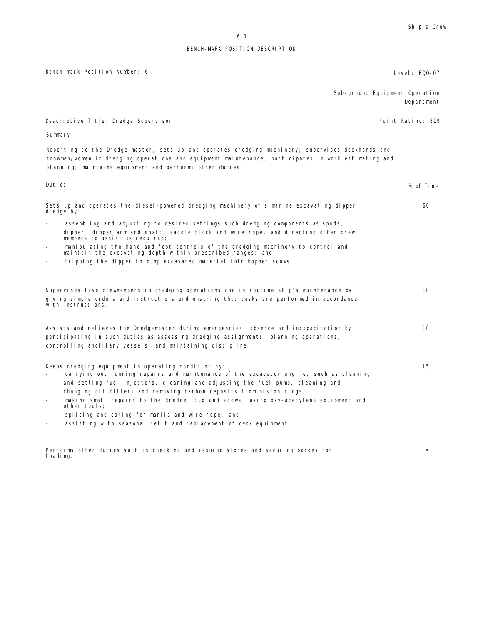Ship's Crew

# BENCH-MARK POSITION DESCRIPTION

| Bench-mark Position Number: 6                                                                                                                                                                                                                                                                                                                                                                                                                                                                                                            | Level: E00-07                                |
|------------------------------------------------------------------------------------------------------------------------------------------------------------------------------------------------------------------------------------------------------------------------------------------------------------------------------------------------------------------------------------------------------------------------------------------------------------------------------------------------------------------------------------------|----------------------------------------------|
|                                                                                                                                                                                                                                                                                                                                                                                                                                                                                                                                          | Sub-group: Equipment Operation<br>Department |
| Descriptive Title: Dredge Supervisor                                                                                                                                                                                                                                                                                                                                                                                                                                                                                                     | Point Rating: 819                            |
| Summary                                                                                                                                                                                                                                                                                                                                                                                                                                                                                                                                  |                                              |
| Reporting to the Dredge master, sets up and operates dredging machinery; supervises deckhands and<br>scowmen/women in dredging operations and equipment maintenance; participates in work estimating and<br>planning; maintains equipment and performs other duties.                                                                                                                                                                                                                                                                     |                                              |
| Duties                                                                                                                                                                                                                                                                                                                                                                                                                                                                                                                                   | % of Time                                    |
| Sets up and operates the diesel-powered dredging machinery of a marine excavating dipper<br>dredge by:                                                                                                                                                                                                                                                                                                                                                                                                                                   | 60                                           |
| assembling and adjusting to desired settings such dredging components as spuds,<br>dipper, dipper arm and shaft, saddle block and wire rope, and directing other crew<br>members to assist as required;                                                                                                                                                                                                                                                                                                                                  |                                              |
| manipulating the hand and foot controls of the dredging machinery to control and<br>maintain the excavating depth within prescribed ranges; and                                                                                                                                                                                                                                                                                                                                                                                          |                                              |
| tripping the dipper to dump excavated material into hopper scows.                                                                                                                                                                                                                                                                                                                                                                                                                                                                        |                                              |
| Supervises five crewmembers in dredging operations and in routine ship's maintenance by<br>giving simple orders and instructions and ensuring that tasks are performed in accordance<br>with instructions.                                                                                                                                                                                                                                                                                                                               | 10                                           |
| Assists and relieves the Dredgemaster during emergencies, absence and incapacitation by<br>participating in such duties as assessing dredging assignments, planning operations,<br>controlling ancillary vessels, and maintaining discipline.                                                                                                                                                                                                                                                                                            | 10                                           |
| Keeps dredging equipment in operating condition by:<br>carrying out running repairs and maintenance of the excavator engine, such as cleaning<br>and setting fuel injectors, cleaning and adjusting the fuel pump, cleaning and<br>changing oil filters and removing carbon deposits from piston rings;<br>making small repairs to the dredge, tug and scows, using oxy-acetylene equipment and<br>other tools;<br>splicing and caring for manila and wire rope; and<br>assisting with seasonal refit and replacement of deck equipment. | 15                                           |
| Performs other duties such as checking and issuing stores and securing barges for<br>I oadi ng.                                                                                                                                                                                                                                                                                                                                                                                                                                          | 5                                            |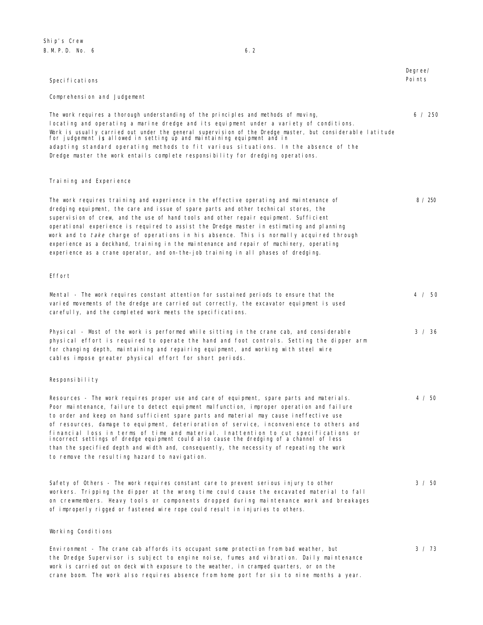| Speci fi cati ons                                                                                                                                                                                                                                                                                                                                                                                                                                                                                                                                                                                                                                                                                               | Degree/<br>Poi nts |
|-----------------------------------------------------------------------------------------------------------------------------------------------------------------------------------------------------------------------------------------------------------------------------------------------------------------------------------------------------------------------------------------------------------------------------------------------------------------------------------------------------------------------------------------------------------------------------------------------------------------------------------------------------------------------------------------------------------------|--------------------|
| Comprehension and Judgement                                                                                                                                                                                                                                                                                                                                                                                                                                                                                                                                                                                                                                                                                     |                    |
| The work requires a thorough understanding of the principles and methods of moving,<br>locating and operating a marine dredge and its equipment under a variety of conditions.<br>Work is usually carried out under the general supervision of the Dredge master, but considerable latitude<br>for judgement is allowed in setting up and maintaining equipment and in<br>adapting standard operating methods to fit various situations. In the absence of the<br>Dredge master the work entails complete responsibility for dredging operations.                                                                                                                                                               | 6 / 250            |
| Training and Experience                                                                                                                                                                                                                                                                                                                                                                                                                                                                                                                                                                                                                                                                                         |                    |
| The work requires training and experience in the effective operating and maintenance of<br>dredging equipment, the care and issue of spare parts and other technical stores, the<br>supervision of crew, and the use of hand tools and other repair equipment. Sufficient<br>operational experience is required to assist the Dredge master in estimating and planning<br>work and to <i>take</i> charge of operations in his absence. This is normally acquired through<br>experience as a deckhand, training in the maintenance and repair of machinery, operating<br>experience as a crane operator, and on-the-job training in all phases of dredging.                                                      | 8 / 250            |
| Effort                                                                                                                                                                                                                                                                                                                                                                                                                                                                                                                                                                                                                                                                                                          |                    |
| Mental - The work requires constant attention for sustained periods to ensure that the<br>varied movements of the dredge are carried out correctly, the excavator equipment is used<br>carefully, and the completed work meets the specifications.                                                                                                                                                                                                                                                                                                                                                                                                                                                              | 4 / 50             |
| Physical - Most of the work is performed while sitting in the crane cab, and considerable<br>physical effort is required to operate the hand and foot controls. Setting the dipper arm<br>for changing depth, maintaining and repairing equipment, and working with steel wire<br>cables impose greater physical effort for short periods.                                                                                                                                                                                                                                                                                                                                                                      | $3 \times 36$      |
| Responsibility                                                                                                                                                                                                                                                                                                                                                                                                                                                                                                                                                                                                                                                                                                  |                    |
| Resources - The work requires proper use and care of equipment, spare parts and materials.<br>Poor maintenance, failure to detect equipment malfunction, improper operation and failure<br>to order and keep on hand sufficient spare parts and material may cause ineffective use<br>of resources, damage to equipment, deterioration of service, inconvenience to others and<br>financial loss in terms of time and material. Inattention to cut specifications or<br>incorrect settings of dredge equipment could also cause the dredging of a channel of less<br>than the specified depth and width and, consequently, the necessity of repeating the work<br>to remove the resulting hazard to navigation. | 4 / 50             |
| Safety of Others - The work requires constant care to prevent serious injury to other<br>workers. Tripping the dipper at the wrong time could cause the excavated material to fall<br>on crewmembers. Heavy tools or components dropped during maintenance work and breakages<br>of improperly rigged or fastened wire rope could result in injuries to others.                                                                                                                                                                                                                                                                                                                                                 | $3 \times 50$      |
| Working Conditions                                                                                                                                                                                                                                                                                                                                                                                                                                                                                                                                                                                                                                                                                              |                    |
| Environment - The crane cab affords its occupant some protection from bad weather, but<br>the Dredge Supervisor is subject to engine noise, fumes and vibration. Daily maintenance<br>work is carried out on deck with exposure to the weather, in cramped quarters, or on the                                                                                                                                                                                                                                                                                                                                                                                                                                  | 3 / 73             |

crane boom. The work also requires absence from home port for six to nine months a year.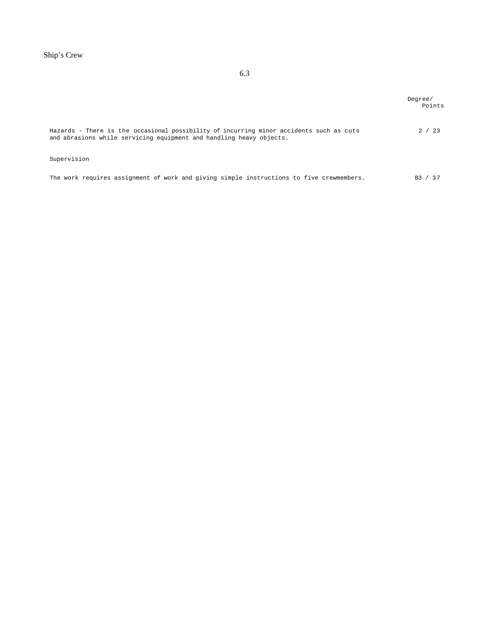6.3

|                                                                                                                                                                | Degree/<br>Points     |
|----------------------------------------------------------------------------------------------------------------------------------------------------------------|-----------------------|
| Hazards - There is the occasional possibility of incurring minor accidents such as cuts<br>and abrasions while servicing equipment and handling heavy objects. | 2 / 23                |
| Supervision                                                                                                                                                    |                       |
| The work requires assignment of work and giving simple instructions to five crewmembers.                                                                       | B <sub>3</sub><br>-37 |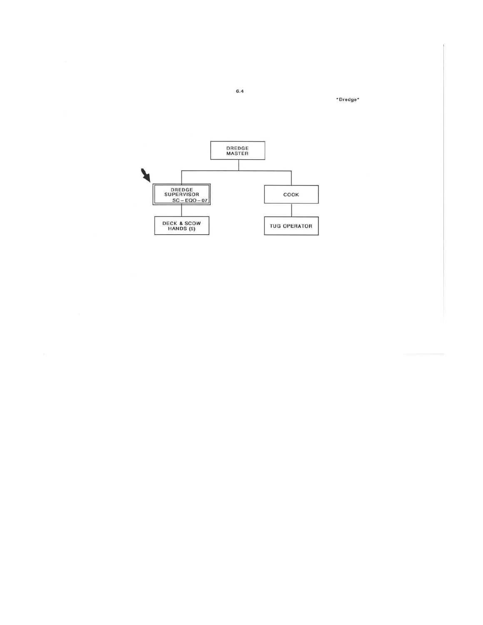"Dredge"

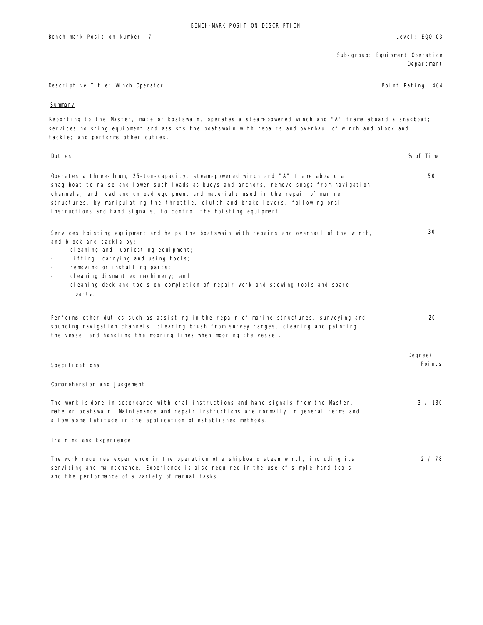Sub-group: Equipment Operation Department

Descriptive Title: Winch Operator Point Rating: 404

Summary

Reporting to the Master, mate or boatswain, operates a steam-powered winch and "A" frame aboard a snagboat; services hoisting equipment and assists the boatswain with repairs and overhaul of winch and block and tackle; and performs other duties. Duties % of Time Operates a three-drum, 25-ton-capacity, steam-powered winch and "A" frame aboard a snag boat to raise and lower such loads as buoys and anchors, remove snags from navigation channels, and load and unload equipment and materials used in the repair of marine structures, by manipulating the throttle, clutch and brake levers, following oral instructions and hand signals, to control the hoisting equipment. 50 Services hoisting equipment and helps the boatswain with repairs and overhaul of the winch, and block and tackle by: 30 cleaning and lubricating equipment; - lifting, carrying and using tools; removing or installing parts; - cleaning dismantled machinery; and - cleaning deck and tools on completion of repair work and stowing tools and spare parts. Performs other duties such as assisting in the repair of marine structures, surveying and sounding navigation channels, clearing brush from survey ranges, cleaning and painting the vessel and handling the mooring lines when mooring the vessel. 20 Specifications Degree/ Points Comprehension and Judgement The work is done in accordance with oral instructions and hand signals from the Master, mate or boatswain. Maintenance and repair instructions are normally in general terms and allow some latitude in the application of established methods. 3 / 130 Training and Experience

The work requires experience in the operation of a shipboard steam winch, including its servicing and maintenance. Experience is also required in the use of simple hand tools and the performance of a variety of manual tasks. 2 / 78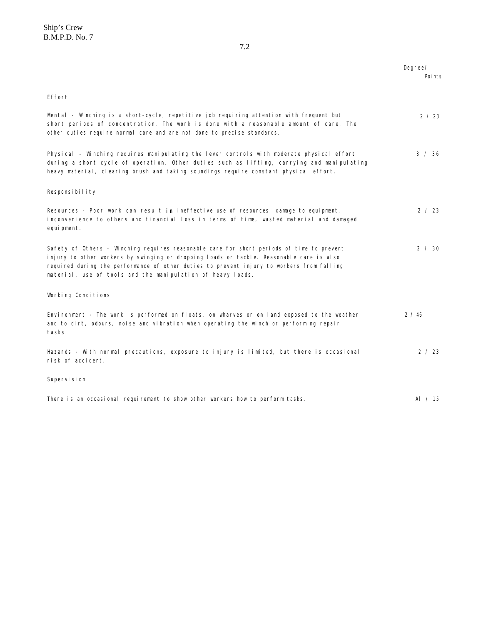|                                                                                                                                                                                                                                                                                                                                                   | Degree/<br>Poi nts |
|---------------------------------------------------------------------------------------------------------------------------------------------------------------------------------------------------------------------------------------------------------------------------------------------------------------------------------------------------|--------------------|
| Effort                                                                                                                                                                                                                                                                                                                                            |                    |
| Mental - Winching is a short-cycle, repetitive job requiring attention with frequent but<br>short periods of concentration. The work is done with a reasonable amount of care. The<br>other duties require normal care and are not done to precise standards.                                                                                     | 2 / 23             |
| Physical - Winching requires manipulating the lever controls with moderate physical effort<br>during a short cycle of operation. Other duties such as lifting, carrying and manipulating<br>heavy material, clearing brush and taking soundings require constant physical effort.                                                                 | $3 \times 36$      |
| Responsi bility                                                                                                                                                                                                                                                                                                                                   |                    |
| Resources - Poor work can result $\mathbf i$ n ineffective use of resources, damage to equipment,<br>inconvenience to others and financial loss in terms of time, wasted material and damaged<br>equi pment.                                                                                                                                      | 2 / 23             |
| Safety of Others - Winching requires reasonable care for short periods of time to prevent<br>injury to other workers by swinging or dropping loads or tackle. Reasonable care is also<br>required during the performance of other duties to prevent injury to workers from falling<br>material, use of tools and the manipulation of heavy loads. | 2 / 30             |
| Working Conditions                                                                                                                                                                                                                                                                                                                                |                    |
| Environment - The work is performed on floats, on wharves or on land exposed to the weather<br>and to dirt, odours, noise and vibration when operating the winch or performing repair<br>tasks.                                                                                                                                                   | 2/46               |
| Hazards - With normal precautions, exposure to injury is limited, but there is occasional<br>risk of accident.                                                                                                                                                                                                                                    | 2 / 23             |
| Supervi si on                                                                                                                                                                                                                                                                                                                                     |                    |
| There is an occasional requirement to show other workers how to perform tasks.                                                                                                                                                                                                                                                                    | AI / 15            |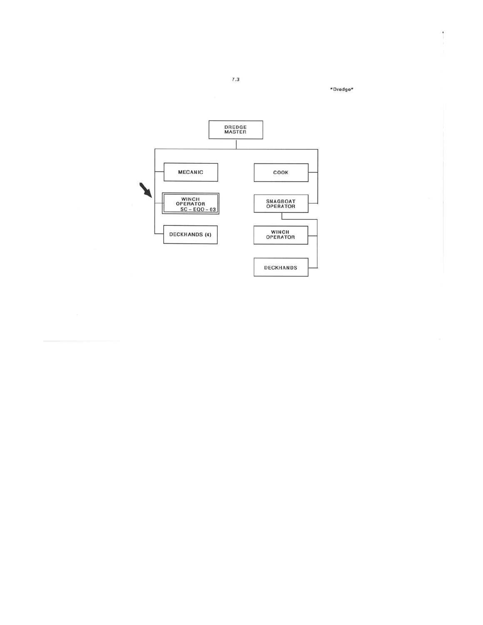"Dredge"

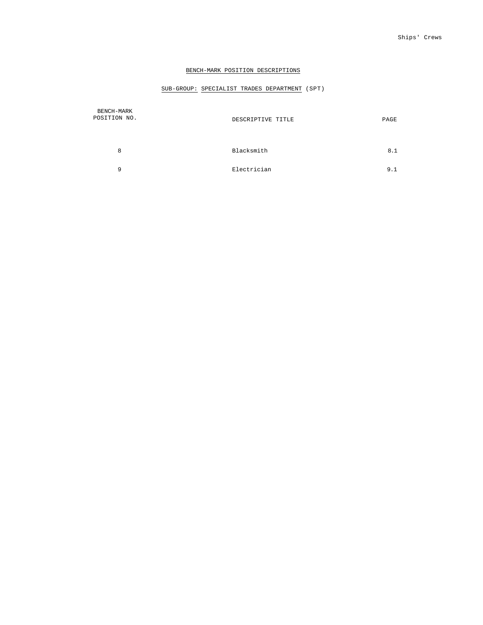## BENCH-MARK POSITION DESCRIPTIONS

# SUB-GROUP: SPECIALIST TRADES DEPARTMENT (SPT)

| BENCH-MARK<br>POSITION NO. | DESCRIPTIVE TITLE | PAGE |
|----------------------------|-------------------|------|
| 8                          | Blacksmith        | 8.1  |
| 9                          | Electrician       | 9.1  |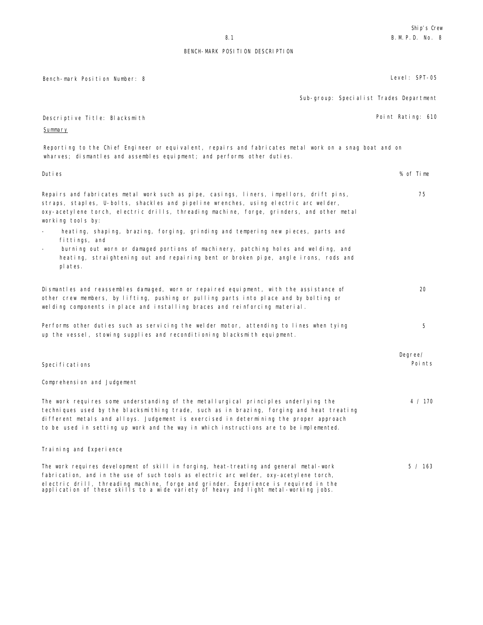# BENCH-MARK POSITION DESCRIPTION

| Bench-mark Position Number: 8                                                                                                                                                                                                                                                                                                                                                                                                                                                                                                                                                                  | Level: SPT-05                           |
|------------------------------------------------------------------------------------------------------------------------------------------------------------------------------------------------------------------------------------------------------------------------------------------------------------------------------------------------------------------------------------------------------------------------------------------------------------------------------------------------------------------------------------------------------------------------------------------------|-----------------------------------------|
|                                                                                                                                                                                                                                                                                                                                                                                                                                                                                                                                                                                                | Sub-group: Specialist Trades Department |
| Descriptive Title: Blacksmith<br>Summary                                                                                                                                                                                                                                                                                                                                                                                                                                                                                                                                                       | Point Rating: 610                       |
| Reporting to the Chief Engineer or equivalent, repairs and fabricates metal work on a snag boat and on<br>wharves; dismantles and assembles equipment; and performs other duties.                                                                                                                                                                                                                                                                                                                                                                                                              |                                         |
| Duties                                                                                                                                                                                                                                                                                                                                                                                                                                                                                                                                                                                         | % of Time                               |
| Repairs and fabricates metal work such as pipe, casings, liners, impellors, drift pins,<br>straps, staples, U-bolts, shackles and pipeline wrenches, using electric arc welder,<br>oxy-acetylene torch, electric drills, threading machine, forge, grinders, and other metal<br>working tools by:<br>heating, shaping, brazing, forging, grinding and tempering new pieces, parts and<br>fittings, and<br>burning out worn or damaged portions of machinery, patching holes and welding, and<br>heating, straightening out and repairing bent or broken pipe, angle irons, rods and<br>plates. | 75                                      |
| Dismantles and reassembles damaged, worn or repaired equipment, with the assistance of<br>other crew members, by lifting, pushing or pulling parts into place and by bolting or<br>welding components in place and installing braces and reinforcing material.                                                                                                                                                                                                                                                                                                                                 | 20                                      |
| Performs other duties such as servicing the welder motor, attending to lines when tying<br>up the vessel, stowing supplies and reconditioning blacksmith equipment.                                                                                                                                                                                                                                                                                                                                                                                                                            | 5                                       |
| Speci fi cati ons<br>Comprehension and Judgement                                                                                                                                                                                                                                                                                                                                                                                                                                                                                                                                               | Degree/<br>Poi nts                      |
| The work requires some understanding of the metallurgical principles underlying the<br>techniques used by the blacksmithing trade, such as in brazing, forging and heat treating<br>different metals and alloys. Judgement is exercised in determining the proper approach<br>to be used in setting up work and the way in which instructions are to be implemented.                                                                                                                                                                                                                           | 4 / 170                                 |
| Training and Experience                                                                                                                                                                                                                                                                                                                                                                                                                                                                                                                                                                        |                                         |
| The work requires development of skill in forging, heat-treating and general metal-work                                                                                                                                                                                                                                                                                                                                                                                                                                                                                                        | 5 / 163                                 |

fabrication, and in the use of such tools as electric arc welder, oxy-acetylene torch, electric drill, threading machine, forge and grinder. Experience is required in the application of these skills to a wide variety of heavy and light metal-working jobs.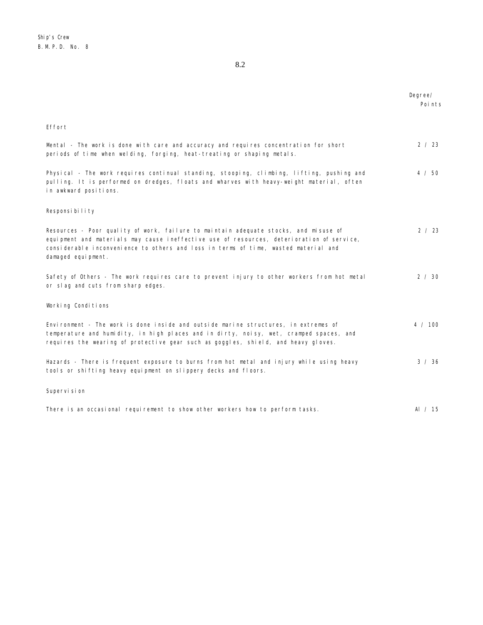8.2

|                                                                                                                                                                                                                                                                                                | Degree/<br>Points |
|------------------------------------------------------------------------------------------------------------------------------------------------------------------------------------------------------------------------------------------------------------------------------------------------|-------------------|
| Effort                                                                                                                                                                                                                                                                                         |                   |
| Mental - The work is done with care and accuracy and requires concentration for short<br>periods of time when welding, forging, heat-treating or shaping metals.                                                                                                                               | 2 / 23            |
| Physical - The work requires continual standing, stooping, climbing, lifting, pushing and<br>pulling. It is performed on dredges, floats and wharves with heavy-weight material, often<br>in awkward positions.                                                                                | 4 / 50            |
| Responsibility                                                                                                                                                                                                                                                                                 |                   |
| Resources - Poor quality of work, failure to maintain adequate stocks, and misuse of<br>equipment and materials may cause ineffective use of resources, deterioration of service,<br>considerable inconvenience to others and loss in terms of time, wasted material and<br>damaged equipment. | 2 / 23            |
| Safety of Others - The work requires care to prevent injury to other workers from hot metal<br>or slag and cuts from sharp edges.                                                                                                                                                              | 2 / 30            |
| Working Conditions                                                                                                                                                                                                                                                                             |                   |
| Environment - The work is done inside and outside marine structures, in extremes of<br>temperature and humidity, in high places and in dirty, noisy, wet, cramped spaces, and<br>requires the wearing of protective gear such as goggles, shield, and heavy gloves.                            | 4 / 100           |
| Hazards - There is frequent exposure to burns from hot metal and injury while using heavy<br>tools or shifting heavy equipment on slippery decks and floors.                                                                                                                                   | 3 / 36            |
| Supervi si on                                                                                                                                                                                                                                                                                  |                   |
| There is an occasional requirement to show other workers how to perform tasks.                                                                                                                                                                                                                 | AI / 15           |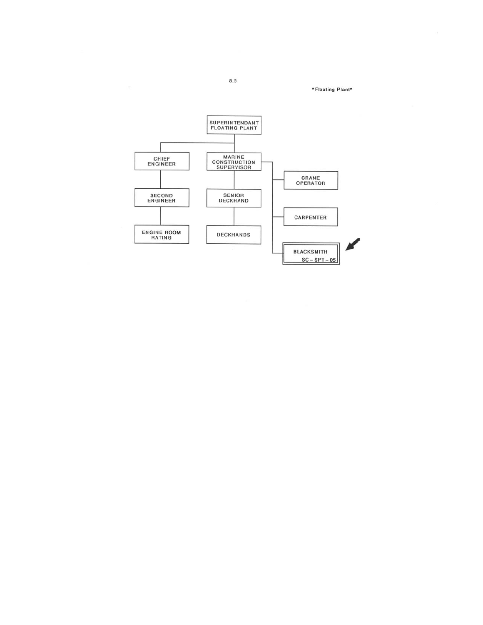"Floating Plant"

 $\bar{z}$ 



 $8.3$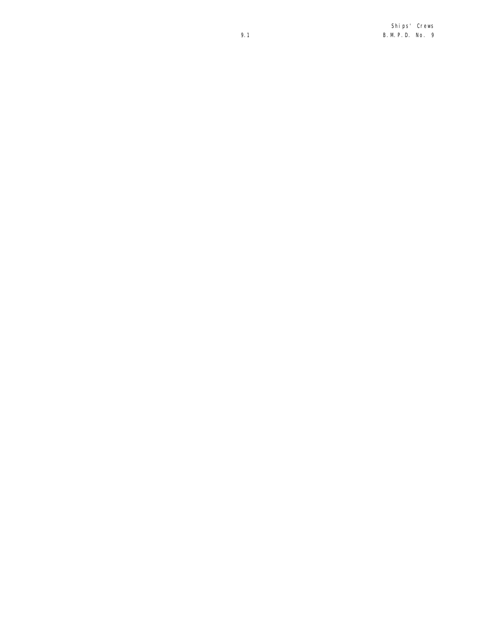Ships' Crews 9.1 B.M.P.D. No. 9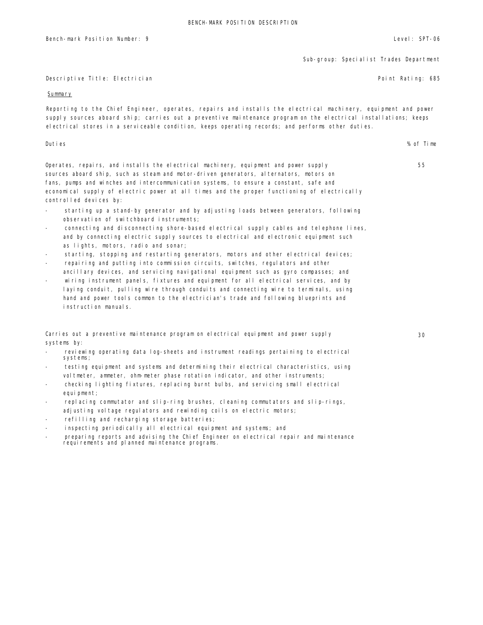Sub-group: Specialist Trades Department

## Descriptive Title: Electrician Point Rating: 685

## Summary

Reporting to the Chief Engineer, operates, repairs and installs the electrical machinery, equipment and power supply sources aboard ship; carries out a preventive maintenance program on the electrical installations; keeps electrical stores in a serviceable condition, keeps operating records; and performs other duties.

#### Duties % of Time

Operates, repairs, and installs the electrical machinery, equipment and power supply sources aboard ship, such as steam and motor-driven generators, alternators, motors on fans, pumps and winches and intercommunication systems, to ensure a constant, safe and economical supply of electric power at all times and the proper functioning of electrically controlled devices by:

- starting up a stand-by generator and by adjusting loads between generators, following observation of switchboard instruments;
- connecting and disconnecting shore-based electrical supply cables and telephone lines, and by connecting electric supply sources to electrical and electronic equipment such as lights, motors, radio and sonar;
- starting, stopping and restarting generators, motors and other electrical devices;
- repairing and putting into commission circuits, switches, regulators and other ancillary devices, and servicing navigational equipment such as gyro compasses; and
- wiring instrument panels, fixtures and equipment for all electrical services, and by laying conduit, pulling wire through conduits and connecting wire to terminals, using hand and power tools common to the electrician's trade and following blueprints and instruction manuals.

Carries out a preventive maintenance program on electrical equipment and power supply systems by:

- reviewing operating data log-sheets and instrument readings pertaining to electrical systems;
- testing equipment and systems and determining their electrical characteristics, using voltmeter, ammeter, ohm-meter phase rotation indicator, and other instruments;
- checking lighting fixtures, replacing burnt bulbs, and servicing small electrical equi pment;
- replacing commutator and slip-ring brushes, cleaning commutators and slip-rings, adjusting voltage regulators and rewinding coils on electric motors;
- refilling and recharging storage batteries;
- inspecting periodically all electrical equipment and systems; and
- preparing reports and advising the Chief Engineer on electrical repair and maintenance requirements and planned maintenance programs.

30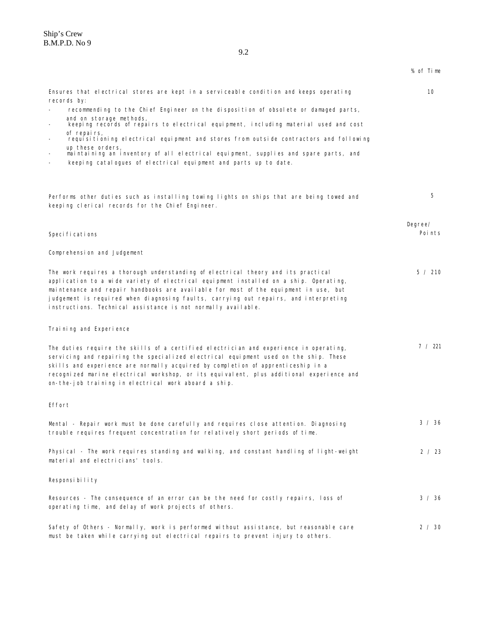9.2

| Ensures that electrical stores are kept in a serviceable condition and keeps operating<br>records by:<br>recommending to the Chief Engineer on the disposition of obsolete or damaged parts,<br>and on storage methods,<br>keeping records of repairs to electrical equipment, including material used and cost<br>of repairs,<br>requisitioning electrical equipment and stores from outside contractors and following<br>up these orders,<br>maintaining an inventory of all electrical equipment, supplies and spare parts, and<br>keeping catalogues of electrical equipment and parts up to date. | 10                |
|--------------------------------------------------------------------------------------------------------------------------------------------------------------------------------------------------------------------------------------------------------------------------------------------------------------------------------------------------------------------------------------------------------------------------------------------------------------------------------------------------------------------------------------------------------------------------------------------------------|-------------------|
| Performs other duties such as installing towing lights on ships that are being towed and<br>keeping clerical records for the Chief Engineer.                                                                                                                                                                                                                                                                                                                                                                                                                                                           | 5                 |
| Speci fi cati ons                                                                                                                                                                                                                                                                                                                                                                                                                                                                                                                                                                                      | Degree/<br>Points |
| Comprehension and Judgement                                                                                                                                                                                                                                                                                                                                                                                                                                                                                                                                                                            |                   |
|                                                                                                                                                                                                                                                                                                                                                                                                                                                                                                                                                                                                        |                   |
| The work requires a thorough understanding of electrical theory and its practical<br>application to a wide variety of electrical equipment installed on a ship. Operating,<br>maintenance and repair handbooks are available for most of the equipment in use, but<br>judgement is required when diagnosing faults, carrying out repairs, and interpreting<br>instructions. Technical assistance is not normally available.                                                                                                                                                                            | 5 / 210           |
| Training and Experience                                                                                                                                                                                                                                                                                                                                                                                                                                                                                                                                                                                |                   |
| The duties require the skills of a certified electrician and experience in operating,<br>servicing and repairing the specialized electrical equipment used on the ship. These<br>skills and experience are normally acquired by completion of apprenticeship in a<br>recognized marine electrical workshop, or its equivalent, plus additional experience and<br>on-the-job training in electrical work aboard a ship.                                                                                                                                                                                 | 7 / 221           |
| Effort                                                                                                                                                                                                                                                                                                                                                                                                                                                                                                                                                                                                 |                   |
| Mental – Repair work must be done carefully and requires close attention. Diagnosing<br>trouble requires frequent concentration for relatively short periods of time.                                                                                                                                                                                                                                                                                                                                                                                                                                  | $3 \times 36$     |
| Physical - The work requires standing and walking, and constant handling of light-weight<br>material and electricians' tools.                                                                                                                                                                                                                                                                                                                                                                                                                                                                          | 2 / 23            |
| Responsibility                                                                                                                                                                                                                                                                                                                                                                                                                                                                                                                                                                                         |                   |
| Resources - The consequence of an error can be the need for costly repairs, loss of<br>operating time, and delay of work projects of others.                                                                                                                                                                                                                                                                                                                                                                                                                                                           | $3 \times 36$     |
| Safety of Others - Normally, work is performed without assistance, but reasonable care<br>must be taken while carrying out electrical repairs to prevent injury to others.                                                                                                                                                                                                                                                                                                                                                                                                                             | $2 \times 30$     |

## % of Time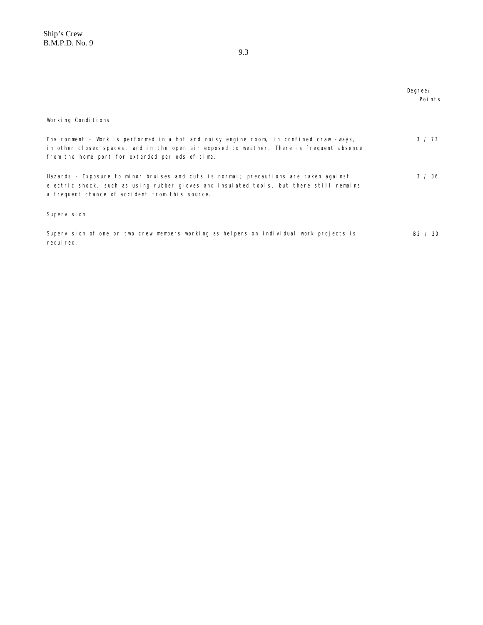requi red.

|                                                                                                                                                                                                                                          | Degree/<br>Points |
|------------------------------------------------------------------------------------------------------------------------------------------------------------------------------------------------------------------------------------------|-------------------|
| Working Conditions                                                                                                                                                                                                                       |                   |
| Environment - Work is performed in a hot and noisy engine room, in confined crawl-ways,<br>in other closed spaces, and in the open air exposed to weather. There is frequent absence<br>from the home port for extended periods of time. | $3 \times 73$     |
| Hazards - Exposure to minor bruises and cuts is normal; precautions are taken against<br>electric shock, such as using rubber gloves and insulated tools, but there still remains<br>a frequent chance of accident from this source.     | $3 \times 36$     |
| Supervision                                                                                                                                                                                                                              |                   |
| Supervision of one or two crew members working as helpers on individual work projects is                                                                                                                                                 | B2 / 20           |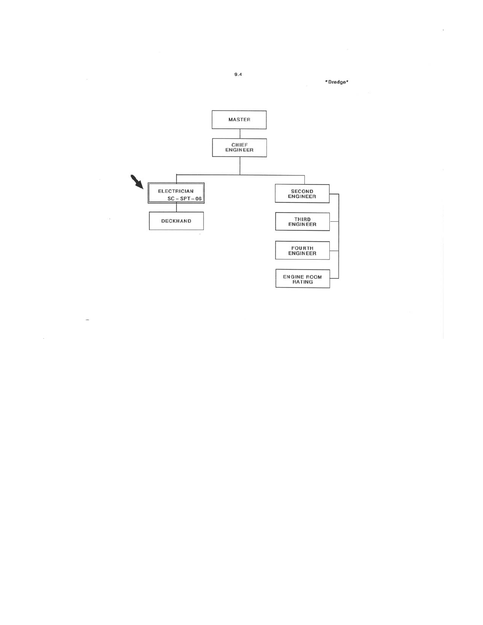"Dredge"

 $\overline{1}$ 



 $\lambda$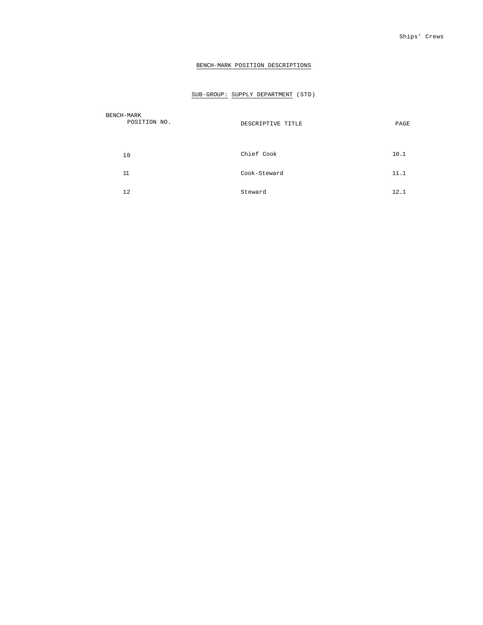# BENCH-MARK POSITION DESCRIPTIONS

# SUB-GROUP: SUPPLY DEPARTMENT (STD)

| BENCH-MARK<br>POSITION NO. | DESCRIPTIVE TITLE | PAGE |
|----------------------------|-------------------|------|
| 10                         | Chief Cook        | 10.1 |
| 11                         | Cook-Steward      | 11.1 |
| 12                         | Steward           | 12.1 |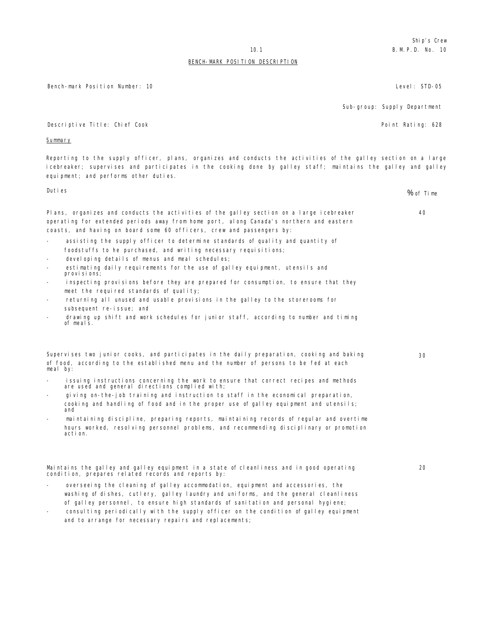Ship's Crew 10.1 B.M.P.D. No. 10

## BENCH-MARK POSITION DESCRIPTION

Bench-mark Position Number: 10 Level: STD-05

Sub-group: Supply Department

Descriptive Title: Chief Cook Point Rating: 628

**Summary** 

Reporting to the supply officer, plans, organizes and conducts the activities of the galley section on a large icebreaker; supervises and participates in the cooking done by galley staff; maintains the galley and galley equipment; and performs other duties.

Duties  $\%$  of Time Plans, organizes and conducts the activities of the galley section on a large icebreaker operating for extended periods away from home port, along Canada's northern and eastern coasts, and having on board some 60 officers, crew and passengers by: 40 assisting the supply officer to determine standards of quality and quantity of foodstuffs to he purchased, and writing necessary requisitions; devel oping details of menus and meal schedules; estimating daily requirements for the use of galley equipment, utensils and provi si ons inspecting provisions before they are prepared for consumption, to ensure that they meet the required standards of quality; returning all unused and usable provisions in the galley to the storerooms for subsequent re-issue; and drawing up shift and work schedules for junior staff, according to number and timing of meals. Supervises two junior cooks, and participates in the daily preparation, cooking and baking of food, according to the established menu and the number of persons to be fed at each meal by:  $30$ issuing instructions concerning the work to ensure that correct recipes and methods are used and general directions complied with; - giving on-the-job training and instruction to staff in the economical preparation, cooking and handling of food and in the proper use of galley equipment and utensils; and maintaining discipline, preparing reports, maintaining records of regular and overtime hours worked, resolving personnel problems, and recommending disciplinary or promotion action. Maintains the galley and galley equipment in a state of cleanliness and in good operating condition, prepares related records and reports by:  $20$ overseeing the cleaning of galley accommodation, equipment and accessories, the washing of dishes, cutlery, galley laundry and uniforms, and the general cleanliness of galley personnel, to ensure high standards of sanitation and personal hygiene;

consulting periodically with the supply officer on the condition of galley equipment and to arrange for necessary repairs and replacements;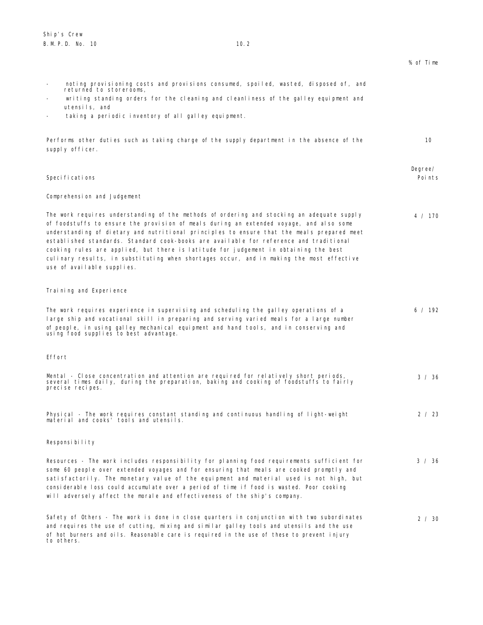| noting provisioning costs and provisions consumed, spoiled, wasted, disposed of, and<br>returned to storerooms,<br>writing standing orders for the cleaning and cleanliness of the galley equipment and<br>utensils, and<br>taking a periodic inventory of all galley equipment.<br>÷                                                                                                                                                                                                                                                                                                           |                    |
|-------------------------------------------------------------------------------------------------------------------------------------------------------------------------------------------------------------------------------------------------------------------------------------------------------------------------------------------------------------------------------------------------------------------------------------------------------------------------------------------------------------------------------------------------------------------------------------------------|--------------------|
| Performs other duties such as taking charge of the supply department in the absence of the<br>supply officer.                                                                                                                                                                                                                                                                                                                                                                                                                                                                                   | 10                 |
| Speci fi cati ons                                                                                                                                                                                                                                                                                                                                                                                                                                                                                                                                                                               | Degree/<br>Poi nts |
| Comprehension and Judgement                                                                                                                                                                                                                                                                                                                                                                                                                                                                                                                                                                     |                    |
| The work requires understanding of the methods of ordering and stocking an adequate supply<br>of foodstuffs to ensure the provision of meals during an extended voyage, and also some<br>understanding of dietary and nutritional principles to ensure that the meals prepared meet<br>established standards. Standard cook-books are available for reference and traditional<br>cooking rules are applied, but there is latitude for judgement in obtaining the best<br>culinary results, in substituting when shortages occur, and in making the most effective<br>use of available supplies. | 4 / 170            |
| Training and Experience                                                                                                                                                                                                                                                                                                                                                                                                                                                                                                                                                                         |                    |
| The work requires experience in supervising and scheduling the galley operations of a<br>large ship and vocational skill in preparing and serving varied meals for a large number<br>of people, in using galley mechanical equipment and hand tools, and in conserving and<br>using food supplies to best advantage.                                                                                                                                                                                                                                                                            | 6 / 192            |
| Effort                                                                                                                                                                                                                                                                                                                                                                                                                                                                                                                                                                                          |                    |
| Mental - Close concentration and attention are required for relatively short periods,<br>several times daily, during the preparation, baking and cooking of foodstuffs to fairly<br>precise recipes.                                                                                                                                                                                                                                                                                                                                                                                            | $3 \times 36$      |
| Physical - The work requires constant standing and continuous handling of light-weight<br>material and cooks' tools and utensils.                                                                                                                                                                                                                                                                                                                                                                                                                                                               | 2 / 23             |
| Responsibility                                                                                                                                                                                                                                                                                                                                                                                                                                                                                                                                                                                  |                    |
| Resources - The work includes responsibility for planning food requirements sufficient for<br>some 60 people over extended voyages and for ensuring that meals are cooked promptly and<br>satisfactorily. The monetary value of the equipment and material used is not high, but<br>considerable loss could accumulate over a period of time if food is wasted. Poor cooking<br>will adversely affect the morale and effectiveness of the ship's company.                                                                                                                                       | $3 \times 36$      |
| Safety of Others - The work is done in close quarters in conjunction with two subordinates<br>and requires the use of cutting, mixing and similar galley tools and utensils and the use<br>of hot burners and oils. Reasonable care is required in the use of these to prevent injury<br>to others.                                                                                                                                                                                                                                                                                             | 2 / 30             |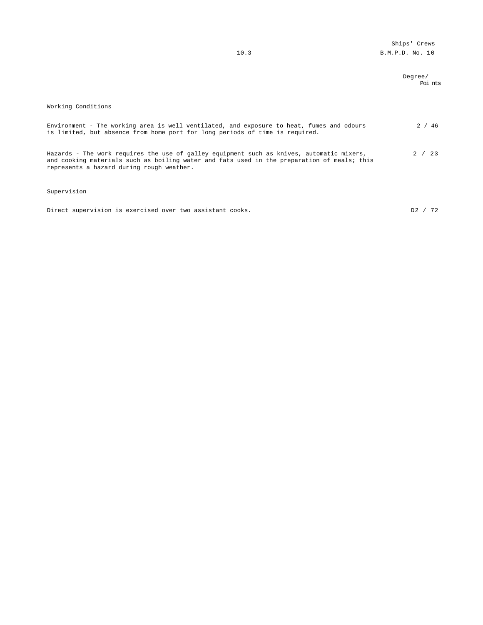Ships' Crews 10.3 B.M.P.D. No. 10

> Degree/ Poi nts

Working Conditions

| Environment - The working area is well ventilated, and exposure to heat, fumes and odours   | 2 / 46 |
|---------------------------------------------------------------------------------------------|--------|
| is limited, but absence from home port for long periods of time is required.                |        |
|                                                                                             |        |
|                                                                                             |        |
| Hazards - The work requires the use of galley equipment such as knives, automatic mixers,   | 2 / 23 |
| and cooking materials such as boiling water and fats used in the preparation of meals; this |        |
| represents a hazard during rough weather.                                                   |        |
|                                                                                             |        |
|                                                                                             |        |

Supervision

Direct supervision is exercised over two assistant cooks. Dans and the set of the set of the set of the set of the set of the set of the set of the set of the set of the set of the set of the set of the set of the set of t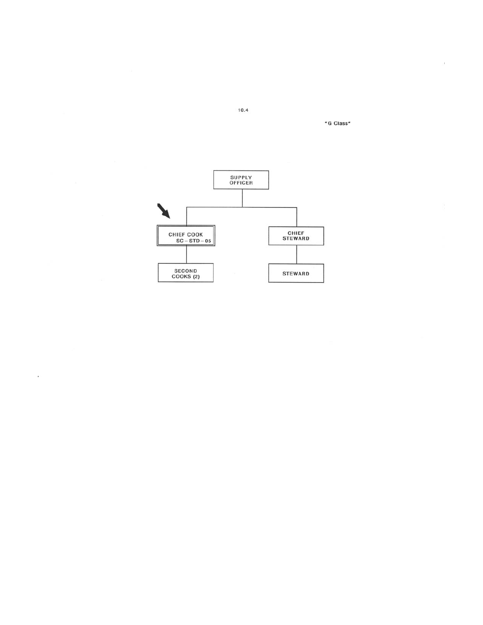

 $\bar{1}$ 



 $\mathbb{R}^3$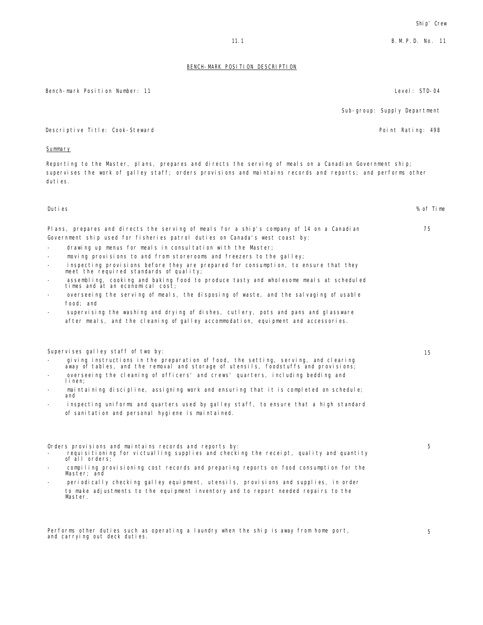Ship' Crew

Sub-group: Supply Department

# BENCH-MARK POSITION DESCRIPTION

Bench-mark Position Number: 11 and 12 Level: STD-04 and 12 Level: STD-04 and 12 Level: STD-04

| Descriptive Title: Cook-Steward                                                                                                                                                                                                                                                                                                                                                                                                                                                                                                                                                                                                                                                                                                                                                                                                                                | Point Rating: 498 |
|----------------------------------------------------------------------------------------------------------------------------------------------------------------------------------------------------------------------------------------------------------------------------------------------------------------------------------------------------------------------------------------------------------------------------------------------------------------------------------------------------------------------------------------------------------------------------------------------------------------------------------------------------------------------------------------------------------------------------------------------------------------------------------------------------------------------------------------------------------------|-------------------|
| Summary                                                                                                                                                                                                                                                                                                                                                                                                                                                                                                                                                                                                                                                                                                                                                                                                                                                        |                   |
| Reporting to the Master, plans, prepares and directs the serving of meals on a Canadian Government ship;<br>supervises the work of galley staff; orders provisions and maintains records and reports; and performs other<br>duties.                                                                                                                                                                                                                                                                                                                                                                                                                                                                                                                                                                                                                            |                   |
| Duties                                                                                                                                                                                                                                                                                                                                                                                                                                                                                                                                                                                                                                                                                                                                                                                                                                                         | % of Time         |
| Plans, prepares and directs the serving of meals for a ship's company of 14 on a Canadian<br>Government ship used for fisheries patrol duties on Canada's west coast by:<br>drawing up menus for meals in consultation with the Master;<br>moving provisions to and from storerooms and freezers to the galley;<br>inspecting provisions before they are prepared for consumption, to ensure that they<br>meet the required standards of quality;<br>assembling, cooking and baking food to produce tasty and wholesome meals at scheduled<br>times and at an economical cost;<br>overseeing the serving of meals, the disposing of waste, and the salvaging of usable<br>food; and<br>supervising the washing and drying of dishes, cutlery, pots and pans and glassware<br>after meals, and the cleaning of galley accommodation, equipment and accessories. | 75                |
| Supervises galley staff of two by:<br>giving instructions in the preparation of food, the setting, serving, and clearing<br>away of tables, and the removal and storage of utensils, foodstuffs and provisions;<br>overseeing the cleaning of officers' and crews' quarters, including bedding and<br>l i nen:<br>maintaining discipline, assigning work and ensuring that it is completed on schedule;<br>and<br>inspecting uniforms and quarters used by galley staff, to ensure that a high standard<br>of sanitation and personal hygiene is maintained.                                                                                                                                                                                                                                                                                                   | 15                |
| Orders provisions and maintains records and reports by:<br>requisitioning for victualling supplies and checking the receipt, quality and quantity<br>of all orders;<br>compiling provisioning cost records and preparing reports on food consumption for the<br>Master; and<br>periodically checking galley equipment, utensils, provisions and supplies, in order<br>to make adjustments to the equipment inventory and to report needed repairs to the<br>Master.                                                                                                                                                                                                                                                                                                                                                                                            | 5                 |
| Performs other duties such as operating a laundry when the ship is away from home port,<br>and carrying out deck duties.                                                                                                                                                                                                                                                                                                                                                                                                                                                                                                                                                                                                                                                                                                                                       | 5                 |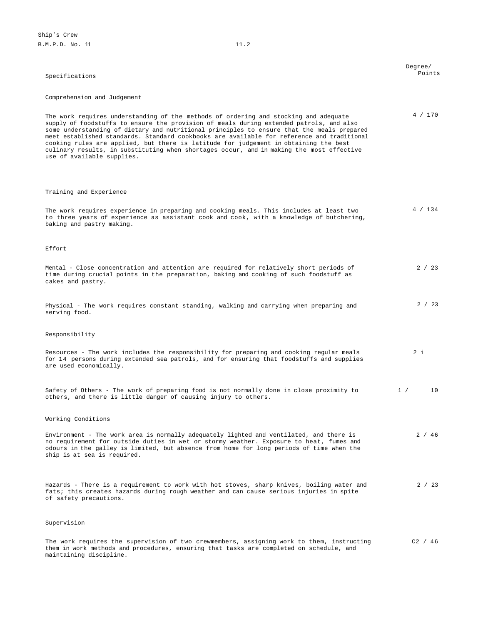# Specifications

### Comprehension and Judgement

The work requires understanding of the methods of ordering and stocking and adequate supply of foodstuffs to ensure the provision of meals during extended patrols, and also some understanding of dietary and nutritional principles to ensure that the meals prepared meet established standards. Standard cookbooks are available for reference and traditional cooking rules are applied, but there is latitude for judgement in obtaining the best culinary results, in substituting when shortages occur, and in making the most effective use of available supplies.

### Training and Experience

| The work requires experience in preparing and cooking meals. This includes at least two  | 4 / 134 |
|------------------------------------------------------------------------------------------|---------|
| to three years of experience as assistant cook and cook, with a knowledge of butchering, |         |
| baking and pastry making.                                                                |         |
|                                                                                          |         |
|                                                                                          |         |

# Effort

| Mental - Close concentration and attention are required for relatively short periods of | 2 / 23 |
|-----------------------------------------------------------------------------------------|--------|
| time during crucial points in the preparation, baking and cooking of such foodstuff as  |        |
| cakes and pastry.                                                                       |        |

| Physical - The work requires constant standing, walking and carrying when preparing and | 2 / 23 |
|-----------------------------------------------------------------------------------------|--------|
| serving food.                                                                           |        |

# Responsibility

|  |  |                        |  |  |  | Resources - The work includes the responsibility for preparing and cooking regular meals  |  | 2 i |
|--|--|------------------------|--|--|--|-------------------------------------------------------------------------------------------|--|-----|
|  |  |                        |  |  |  | for 14 persons during extended sea patrols, and for ensuring that foodstuffs and supplies |  |     |
|  |  | are used economically. |  |  |  |                                                                                           |  |     |

Safety of Others - The work of preparing food is not normally done in close proximity to others, and there is little danger of causing injury to others. 1 / 10

## Working Conditions

Environment - The work area is normally adequately lighted and ventilated, and there is no requirement for outside duties in wet or stormy weather. Exposure to heat, fumes and odours in the galley is limited, but absence from home for long periods of time when the ship is at sea is required. 2 / 46

Hazards - There is a requirement to work with hot stoves, sharp knives, boiling water and fats; this creates hazards during rough weather and can cause serious injuries in spite of safety precautions. 2 / 23

### Supervision

The work requires the supervision of two crewmembers, assigning work to them, instructing them in work methods and procedures, ensuring that tasks are completed on schedule, and maintaining discipline. C2 / 46

4 / 170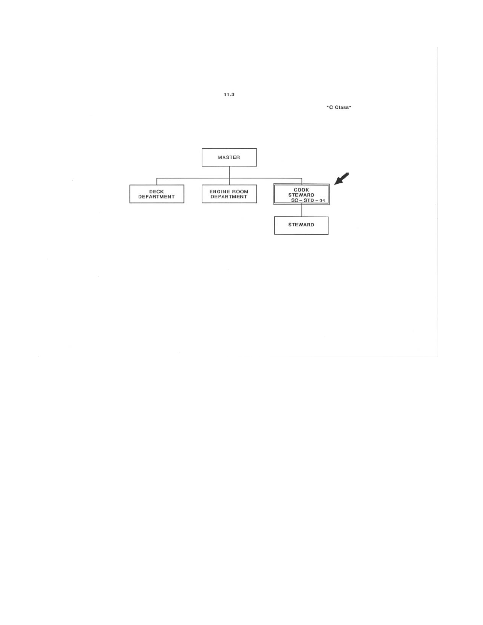

 $\sim$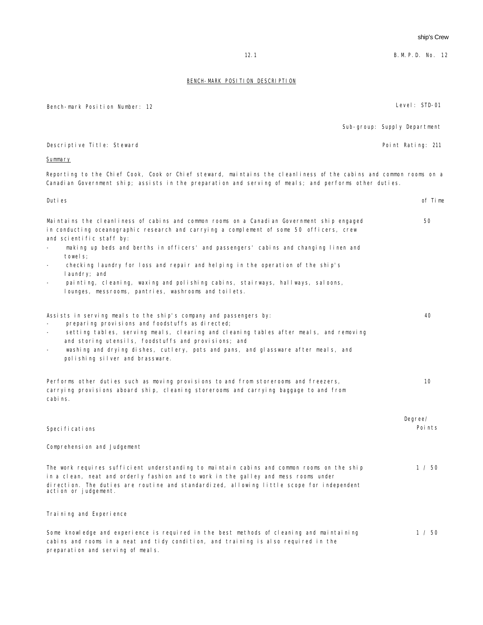ship's Crew

12.1 **B.M.P.D. No. 12** 

# BENCH-MARK POSITION DESCRIPTION

| Bench-mark Position Number: 12                                                                                                                                                                                                                                                                                                                                                                                             | Level: STD-01                |
|----------------------------------------------------------------------------------------------------------------------------------------------------------------------------------------------------------------------------------------------------------------------------------------------------------------------------------------------------------------------------------------------------------------------------|------------------------------|
|                                                                                                                                                                                                                                                                                                                                                                                                                            | Sub-group: Supply Department |
| Descriptive Title: Steward                                                                                                                                                                                                                                                                                                                                                                                                 | Point Rating: 211            |
| <u>Summary</u>                                                                                                                                                                                                                                                                                                                                                                                                             |                              |
| Reporting to the Chief Cook, Cook or Chief steward, maintains the cleanliness of the cabins and common rooms on a<br>Canadian Government ship; assists in the preparation and serving of meals; and performs other duties.                                                                                                                                                                                                 |                              |
| Duties                                                                                                                                                                                                                                                                                                                                                                                                                     | of Time                      |
| Maintains the cleanliness of cabins and common rooms on a Canadian Government ship engaged<br>in conducting oceanographic research and carrying a complement of some 50 officers, crew<br>and scientific staff by:<br>making up beds and berths in officers' and passengers' cabins and changing linen and<br>towels;                                                                                                      | 50                           |
| checking laundry for loss and repair and helping in the operation of the ship's<br>l aundry; and<br>painting, cleaning, waxing and polishing cabins, stairways, hallways, saloons,<br>$\overline{\phantom{a}}$<br>lounges, messrooms, pantries, washrooms and toilets.                                                                                                                                                     |                              |
| Assists in serving meals to the ship's company and passengers by:<br>preparing provisions and foodstuffs as directed;<br>setting tables, serving meals, clearing and cleaning tables after meals, and removing<br>and storing utensils, foodstuffs and provisions; and<br>washing and drying dishes, cutlery, pots and pans, and glassware after meals, and<br>$\overline{\phantom{a}}$<br>polishing silver and brassware. | 40                           |
| Performs other duties such as moving provisions to and from storerooms and freezers,<br>carrying provisions aboard ship, cleaning storerooms and carrying baggage to and from<br>cabi ns.                                                                                                                                                                                                                                  | 10                           |
| Speci fi cati ons                                                                                                                                                                                                                                                                                                                                                                                                          | Degree/<br>Points            |
| Comprehension and Judgement                                                                                                                                                                                                                                                                                                                                                                                                |                              |
| The work requires sufficient understanding to maintain cabins and common rooms on the ship<br>in a clean, neat and orderly fashion and to work in the galley and mess rooms under<br>direction. The duties are routine and standardized, allowing little scope for independent<br>action or judgement.                                                                                                                     | 1 / 50                       |
| Training and Experience                                                                                                                                                                                                                                                                                                                                                                                                    |                              |
| Some knowledge and experience is required in the best methods of cleaning and maintaining<br>cabins and rooms in a neat and tidy condition, and training is also required in the<br>preparation and serving of meals.                                                                                                                                                                                                      | 1 / 50                       |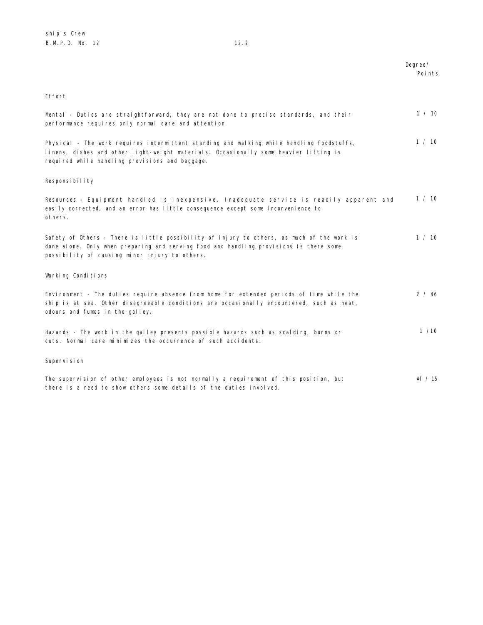|                                                                                                                                                                                                                                        | Degree/<br>Poi nts |
|----------------------------------------------------------------------------------------------------------------------------------------------------------------------------------------------------------------------------------------|--------------------|
| Effort                                                                                                                                                                                                                                 |                    |
| Mental - Duties are straightforward, they are not done to precise standards, and their<br>performance requires only normal care and attention.                                                                                         | 1 / 10             |
| Physical - The work requires intermittent standing and walking while handling foodstuffs,<br>linens, dishes and other light-weight materials. Occasionally some heavier lifting is<br>required while handling provisions and baggage.  | 1 / 10             |
| Responsibility                                                                                                                                                                                                                         |                    |
| Resources - Equipment handled is inexpensive. Inadequate service is readily apparent and<br>easily corrected, and an error has little consequence except some inconvenience to<br>others.                                              | 1 / 10             |
| Safety of Others - There is little possibility of injury to others, as much of the work is<br>done alone. Only when preparing and serving food and handling provisions is there some<br>possibility of causing minor injury to others. | 1 / 10             |
| Working Conditions                                                                                                                                                                                                                     |                    |
| Environment - The duties require absence from home for extended periods of time while the<br>ship is at sea. Other disagreeable conditions are occasionally encountered, such as heat,<br>odours and fumes in the galley.              | $2 \times 46$      |
| Hazards - The work in the galley presents possible hazards such as scalding, burns or<br>cuts. Normal care minimizes the occurrence of such accidents.                                                                                 | 1 / 10             |
| Supervi si on                                                                                                                                                                                                                          |                    |
| The supervision of other employees is not normally a requirement of this position, but<br>there is a need to show others some details of the duties involved.                                                                          | AI / 15            |